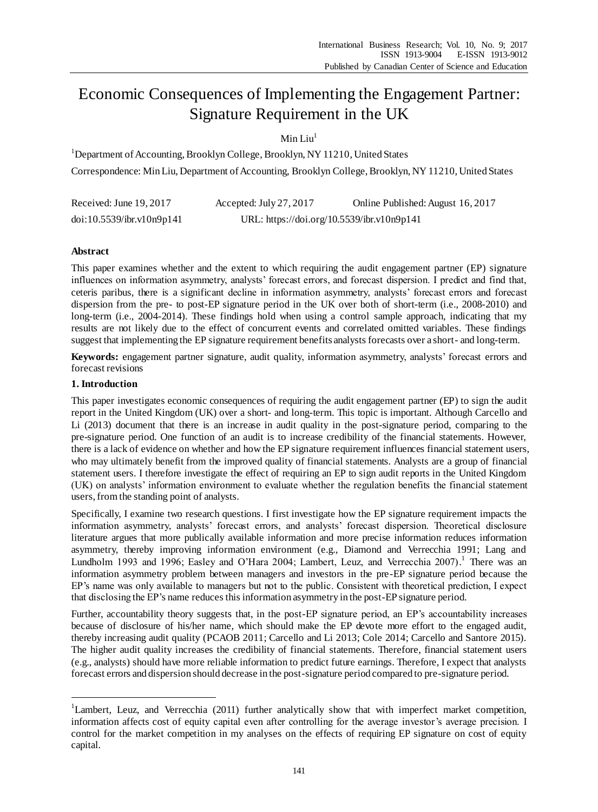# Economic Consequences of Implementing the Engagement Partner: Signature Requirement in the UK

Min Liu $<sup>1</sup>$ </sup>

<sup>1</sup>Department of Accounting, Brooklyn College, Brooklyn, NY 11210, United States Correspondence: Min Liu, Department of Accounting, Brooklyn College, Brooklyn, NY 11210, United States

Received: June 19, 2017 Accepted: July 27, 2017 Online Published: August 16, 2017 doi:10.5539/ibr.v10n9p141 URL: https://doi.org/10.5539/ibr.v10n9p141

# **Abstract**

This paper examines whether and the extent to which requiring the audit engagement partner (EP) signature influences on information asymmetry, analysts' forecast errors, and forecast dispersion. I predict and find that, ceteris paribus, there is a significant decline in information asymmetry, analysts' forecast errors and forecast dispersion from the pre- to post-EP signature period in the UK over both of short-term (i.e., 2008-2010) and long-term (i.e., 2004-2014). These findings hold when using a control sample approach, indicating that my results are not likely due to the effect of concurrent events and correlated omitted variables. These findings suggest that implementing the EP signature requirement benefits analysts forecasts over a short- and long-term.

**Keywords:** engagement partner signature, audit quality, information asymmetry, analysts' forecast errors and forecast revisions

## **1. Introduction**

1

This paper investigates economic consequences of requiring the audit engagement partner (EP) to sign the audit report in the United Kingdom (UK) over a short- and long-term. This topic is important. Although Carcello and Li (2013) document that there is an increase in audit quality in the post-signature period, comparing to the pre-signature period. One function of an audit is to increase credibility of the financial statements. However, there is a lack of evidence on whether and how the EP signature requirement influences financial statement users, who may ultimately benefit from the improved quality of financial statements. Analysts are a group of financial statement users. I therefore investigate the effect of requiring an EP to sign audit reports in the United Kingdom (UK) on analysts' information environment to evaluate whether the regulation benefits the financial statement users, from the standing point of analysts.

Specifically, I examine two research questions. I first investigate how the EP signature requirement impacts the information asymmetry, analysts' forecast errors, and analysts' forecast dispersion. Theoretical disclosure literature argues that more publically available information and more precise information reduces information asymmetry, thereby improving information environment (e.g., Diamond and Verrecchia 1991; Lang and Lundholm 1993 and 1996; Easley and O'Hara 2004; Lambert, Leuz, and Verrecchia 2007).<sup>1</sup> There was an information asymmetry problem between managers and investors in the pre-EP signature period because the EP's name was only available to managers but not to the public. Consistent with theoretical prediction, I expect that disclosing the EP's name reduces this information asymmetry in the post-EP signature period.

Further, accountability theory suggests that, in the post-EP signature period, an EP's accountability increases because of disclosure of his/her name, which should make the EP devote more effort to the engaged audit, thereby increasing audit quality (PCAOB 2011; Carcello and Li 2013; Cole 2014; Carcello and Santore 2015). The higher audit quality increases the credibility of financial statements. Therefore, financial statement users (e.g., analysts) should have more reliable information to predict future earnings. Therefore, I expect that analysts forecast errors and dispersion should decrease in the post-signature period compared to pre-signature period.

<sup>&</sup>lt;sup>1</sup>Lambert, Leuz, and Verrecchia (2011) further analytically show that with imperfect market competition, information affects cost of equity capital even after controlling for the average investor's average precision. I control for the market competition in my analyses on the effects of requiring EP signature on cost of equity capital.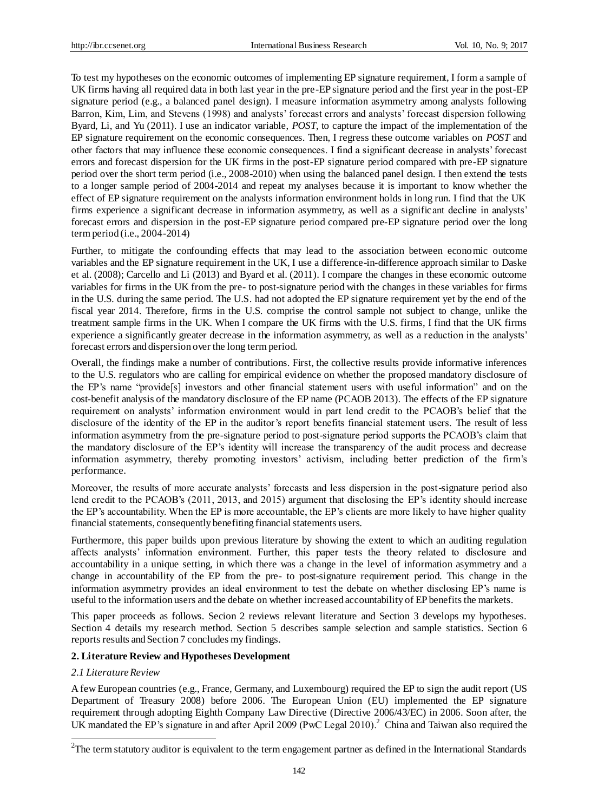To test my hypotheses on the economic outcomes of implementing EP signature requirement, I form a sample of UK firms having all required data in both last year in the pre-EP signature period and the first year in the post-EP signature period (e.g., a balanced panel design). I measure information asymmetry among analysts following Barron, Kim, Lim, and Stevens (1998) and analysts' forecast errors and analysts' forecast dispersion following Byard, Li, and Yu (2011). I use an indicator variable, *POST*, to capture the impact of the implementation of the EP signature requirement on the economic consequences. Then, I regress these outcome variables on *POST* and other factors that may influence these economic consequences. I find a significant decrease in analysts' forecast errors and forecast dispersion for the UK firms in the post-EP signature period compared with pre-EP signature period over the short term period (i.e., 2008-2010) when using the balanced panel design. I then extend the tests to a longer sample period of 2004-2014 and repeat my analyses because it is important to know whether the effect of EP signature requirement on the analysts information environment holds in long run. I find that the UK firms experience a significant decrease in information asymmetry, as well as a significant decline in analysts' forecast errors and dispersion in the post-EP signature period compared pre-EP signature period over the long term period (i.e., 2004-2014)

Further, to mitigate the confounding effects that may lead to the association between economic outcome variables and the EP signature requirement in the UK, I use a difference-in-difference approach similar to Daske et al. (2008); Carcello and Li (2013) and Byard et al. (2011). I compare the changes in these economic outcome variables for firms in the UK from the pre- to post-signature period with the changes in these variables for firms in the U.S. during the same period. The U.S. had not adopted the EP signature requirement yet by the end of the fiscal year 2014. Therefore, firms in the U.S. comprise the control sample not subject to change, unlike the treatment sample firms in the UK. When I compare the UK firms with the U.S. firms, I find that the UK firms experience a significantly greater decrease in the information asymmetry, as well as a reduction in the analysts' forecast errors and dispersion over the long term period.

Overall, the findings make a number of contributions. First, the collective results provide informative inferences to the U.S. regulators who are calling for empirical evidence on whether the proposed mandatory disclosure of the EP's name "provide[s] investors and other financial statement users with useful information" and on the cost-benefit analysis of the mandatory disclosure of the EP name (PCAOB 2013). The effects of the EP signature requirement on analysts' information environment would in part lend credit to the PCAOB's belief that the disclosure of the identity of the EP in the auditor's report benefits financial statement users. The result of less information asymmetry from the pre-signature period to post-signature period supports the PCAOB's claim that the mandatory disclosure of the EP's identity will increase the transparency of the audit process and decrease information asymmetry, thereby promoting investors' activism, including better prediction of the firm's performance.

Moreover, the results of more accurate analysts' forecasts and less dispersion in the post-signature period also lend credit to the PCAOB's (2011, 2013, and 2015) argument that disclosing the EP's identity should increase the EP's accountability. When the EP is more accountable, the EP's clients are more likely to have higher quality financial statements, consequently benefiting financial statements users.

Furthermore, this paper builds upon previous literature by showing the extent to which an auditing regulation affects analysts' information environment. Further, this paper tests the theory related to disclosure and accountability in a unique setting, in which there was a change in the level of information asymmetry and a change in accountability of the EP from the pre- to post-signature requirement period. This change in the information asymmetry provides an ideal environment to test the debate on whether disclosing EP's name is useful to the information users and the debate on whether increased accountability of EP benefits the markets.

This paper proceeds as follows. Secion 2 reviews relevant literature and Section 3 develops my hypotheses. Section 4 details my research method. Section 5 describes sample selection and sample statistics. Section 6 reports results and Section 7 concludes my findings.

## **2. Literature Review and Hypotheses Development**

## *2.1 Literature Review*

1

A few European countries (e.g., France, Germany, and Luxembourg) required the EP to sign the audit report (US Department of Treasury 2008) before 2006. The European Union (EU) implemented the EP signature requirement through adopting Eighth Company Law Directive (Directive 2006/43/EC) in 2006. Soon after, the UK mandated the EP's signature in and after April 2009 (PwC Legal 2010).<sup>2</sup> China and Taiwan also required the

 $2$ The term statutory auditor is equivalent to the term engagement partner as defined in the International Standards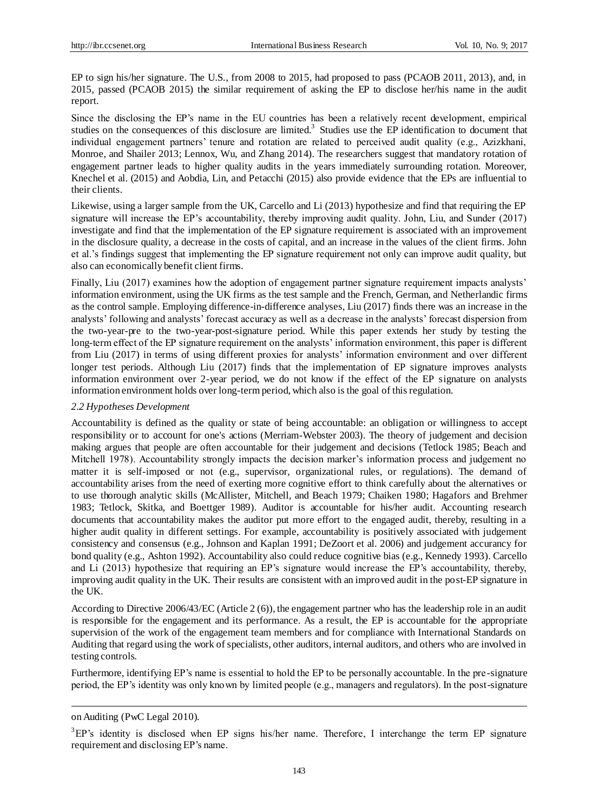EP to sign his/her signature. The U.S., from 2008 to 2015, had proposed to pass (PCAOB 2011, 2013), and, in 2015, passed (PCAOB 2015) the similar requirement of asking the EP to disclose her/his name in the audit report.

Since the disclosing the EP's name in the EU countries has been a relatively recent development, empirical studies on the consequences of this disclosure are limited.<sup>3</sup> Studies use the EP identification to document that individual engagement partners' tenure and rotation are related to perceived audit quality (e.g., Azizkhani, Monroe, and Shailer 2013; Lennox, Wu, and Zhang 2014). The researchers suggest that mandatory rotation of engagement partner leads to higher quality audits in the years immediately surrounding rotation. Moreover, Knechel et al. (2015) and Aobdia, Lin, and Petacchi (2015) also provide evidence that the EPs are influential to their clients.

Likewise, using a larger sample from the UK, Carcello and Li (2013) hypothesize and find that requiring the EP signature will increase the EP's accountability, thereby improving audit quality. John, Liu, and Sunder (2017) investigate and find that the implementation of the EP signature requirement is associated with an improvement in the disclosure quality, a decrease in the costs of capital, and an increase in the values of the client firms. John et al.'s findings suggest that implementing the EP signature requirement not only can improve audit quality, but also can economically benefit client firms.

Finally, Liu (2017) examines how the adoption of engagement partner signature requirement impacts analysts' information environment, using the UK firms as the test sample and the French, German, and Netherlandic firms as the control sample. Employing difference-in-difference analyses, Liu (2017) finds there was an increase in the analysts' following and analysts' forecast accuracy as well as a decrease in the analysts' forecast dispersion from the two-year-pre to the two-year-post-signature period. While this paper extends her study by testing the long-term effect of the EP signature requirement on the analysts' information environment, this paper is different from Liu (2017) in terms of using different proxies for analysts' information environment and over different longer test periods. Although Liu (2017) finds that the implementation of EP signature improves analysts information environment over 2-year period, we do not know if the effect of the EP signature on analysts information environment holds over long-term period, which also is the goal of this regulation.

#### *2.2 Hypotheses Development*

Accountability is defined as the quality or state of being [accountable](http://www.merriam-webster.com/dictionary/accountable): an obligation or willingness to accept responsibility or to [account](http://www.merriam-webster.com/dictionary/account) for one's actions (Merriam-Webster 2003). The theory of judgement and decision making argues that people are often accountable for their judgement and decisions (Tetlock 1985; Beach and Mitchell 1978). Accountability strongly impacts the decision marker's information process and judgement no matter it is self-imposed or not (e.g., supervisor, organizational rules, or regulations). The demand of accountability arises from the need of exerting more cognitive effort to think carefully about the alternatives or to use thorough analytic skills (McAllister, Mitchell, and Beach 1979; Chaiken 1980; Hagafors and Brehmer 1983; Tetlock, Skitka, and Boettger 1989). Auditor is accountable for his/her audit. Accounting research documents that accountability makes the auditor put more effort to the engaged audit, thereby, resulting in a higher audit quality in different settings. For example, accountability is positively associated with judgement consistency and consensus (e.g., Johnson and Kaplan 1991; DeZoort et al. 2006) and judgement accurancy for bond quality (e.g., Ashton 1992). Accountability also could reduce cognitive bias (e.g., Kennedy 1993). Carcello and Li (2013) hypothesize that requiring an EP's signature would increase the EP's accountability, thereby, improving audit quality in the UK. Their results are consistent with an improved audit in the post-EP signature in the UK.

According to Directive 2006/43/EC (Article 2 (6)), the engagement partner who has the leadership role in an audit is responsible for the engagement and its performance. As a result, the EP is accountable for the appropriate supervision of the work of the engagement team members and for compliance with International Standards on Auditing that regard using the work of specialists, other auditors, internal auditors, and others who are involved in testing controls.

Furthermore, identifying EP's name is essential to hold the EP to be personally accountable. In the pre-signature period, the EP's identity was only known by limited people (e.g., managers and regulators). In the post-signature

1

on Auditing (PwC Legal 2010).

<sup>&</sup>lt;sup>3</sup>EP's identity is disclosed when EP signs his/her name. Therefore, I interchange the term EP signature requirement and disclosing EP's name.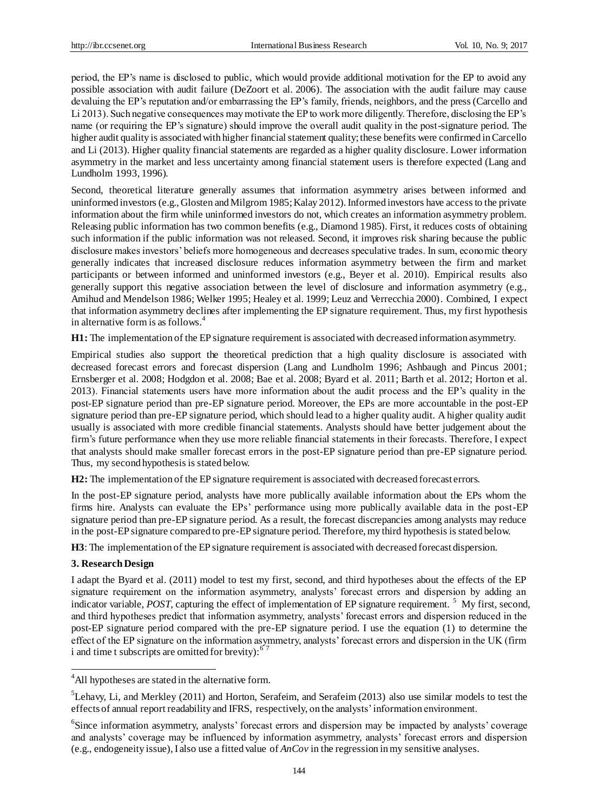period, the EP's name is disclosed to public, which would provide additional motivation for the EP to avoid any possible association with audit failure (DeZoort et al. 2006). The association with the audit failure may cause devaluing the EP's reputation and/or embarrassing the EP's family, friends, neighbors, and the press (Carcello and Li 2013). Such negative consequences may motivate the EP to work more diligently. Therefore, disclosing the EP's name (or requiring the EP's signature) should improve the overall audit quality in the post-signature period. The higher audit quality is associated with higher financial statement quality; these benefits were confirmed in Carcello and Li (2013). Higher quality financial statements are regarded as a higher quality disclosure. Lower information asymmetry in the market and less uncertainty among financial statement users is therefore expected (Lang and Lundholm 1993, 1996).

Second, theoretical literature generally assumes that information asymmetry arises between informed and uninformed investors (e.g., Glosten and Milgrom 1985; Kalay 2012). Informed investors have access to the private information about the firm while uninformed investors do not, which creates an information asymmetry problem. Releasing public information has two common benefits (e.g., Diamond 1985). First, it reduces costs of obtaining such information if the public information was not released. Second, it improves risk sharing because the public disclosure makes investors' beliefs more homogeneous and decreases speculative trades. In sum, economic theory generally indicates that increased disclosure reduces information asymmetry between the firm and market participants or between informed and uninformed investors (e.g., Beyer et al. 2010). Empirical results also generally support this negative association between the level of disclosure and information asymmetry (e.g., Amihud and Mendelson 1986; Welker 1995; Healey et al. 1999; Leuz and Verrecchia 2000). Combined, I expect that information asymmetry declines after implementing the EP signature requirement. Thus, my first hypothesis in alternative form is as follows.<sup>4</sup>

**H1:** The implementation of the EP signature requirement is associated with decreased information asymmetry.

Empirical studies also support the theoretical prediction that a high quality disclosure is associated with decreased forecast errors and forecast dispersion (Lang and Lundholm 1996; Ashbaugh and Pincus 2001; Ernsberger et al. 2008; Hodgdon et al. 2008; Bae et al. 2008; Byard et al. 2011; Barth et al. 2012; Horton et al. 2013). Financial statements users have more information about the audit process and the EP's quality in the post-EP signature period than pre-EP signature period. Moreover, the EPs are more accountable in the post-EP signature period than pre-EP signature period, which should lead to a higher quality audit. A higher quality audit usually is associated with more credible financial statements. Analysts should have better judgement about the firm's future performance when they use more reliable financial statements in their forecasts. Therefore, I expect that analysts should make smaller forecast errors in the post-EP signature period than pre-EP signature period. Thus, my second hypothesis is stated below.

**H2:** The implementation of the EP signature requirement is associated with decreased forecast errors.

In the post-EP signature period, analysts have more publically available information about the EPs whom the firms hire. Analysts can evaluate the EPs' performance using more publically available data in the post-EP signature period than pre-EP signature period. As a result, the forecast discrepancies among analysts may reduce in the post-EP signature compared to pre-EP signature period. Therefore, my third hypothesis is stated below.

**H3**: The implementation of the EP signature requirement is associated with decreased forecast dispersion.

# **3. Research Design**

<u>.</u>

I adapt the Byard et al. (2011) model to test my first, second, and third hypotheses about the effects of the EP signature requirement on the information asymmetry, analysts' forecast errors and dispersion by adding an indicator variable, *POST*, capturing the effect of implementation of EP signature requirement.<sup>5</sup> My first, second, and third hypotheses predict that information asymmetry, analysts' forecast errors and dispersion reduced in the post-EP signature period compared with the pre-EP signature period. I use the equation (1) to determine the effect of the EP signature on the information asymmetry, analysts' forecast errors and dispersion in the UK (firm i and time t subscripts are omitted for brevity): $<sup>6</sup>$ </sup>

<sup>&</sup>lt;sup>4</sup>All hypotheses are stated in the alternative form.

<sup>&</sup>lt;sup>5</sup>Lehavy, Li, and Merkley (2011) and Horton, Serafeim, and Serafeim (2013) also use similar models to test the effects of annual report readability and IFRS, respectively, on the analysts' information environment.

<sup>&</sup>lt;sup>6</sup>Since information asymmetry, analysts' forecast errors and dispersion may be impacted by analysts' coverage and analysts' coverage may be influenced by information asymmetry, analysts' forecast errors and dispersion (e.g., endogeneity issue), I also use a fitted value of *AnCov* in the regression in my sensitive analyses.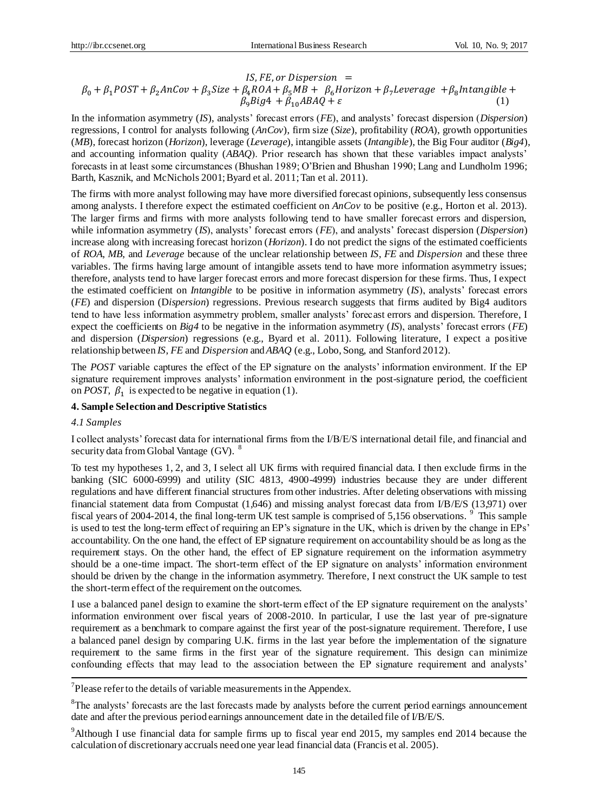# $IS, FE, or Disperson =$  $\beta_0 + \beta_1$ POST +  $\beta_2$ AnCov +  $\beta_3$ Size +  $\beta_4$ ROA +  $\beta_5$ MB +  $\beta_6$ Horizon +  $\beta_7$ Leverage + $\beta_8$ Intangible +  $\beta_9 Big4 + \beta_{10} ABAQ + \varepsilon$  (1)

In the information asymmetry (*IS*), analysts' forecast errors (*FE*), and analysts' forecast dispersion (*Dispersion*) regressions, I control for analysts following (*AnCov*), firm size (*Size*), profitability (*ROA*), growth opportunities (*MB*), forecast horizon (*Horizon*), leverage (*Leverage*), intangible assets (*Intangible*), the Big Four auditor (*Big4*), and accounting information quality (*ABAQ*). Prior research has shown that these variables impact analysts' forecasts in at least some circumstances (Bhushan 1989; O'Brien and Bhushan 1990; Lang and Lundholm 1996; Barth, Kasznik, and McNichols 2001; Byard et al. 2011; Tan et al. 2011).

The firms with more analyst following may have more diversified forecast opinions, subsequently less consensus among analysts. I therefore expect the estimated coefficient on *AnCov* to be positive (e.g., Horton et al. 2013). The larger firms and firms with more analysts following tend to have smaller forecast errors and dispersion, while information asymmetry (*IS*), analysts' forecast errors (*FE*), and analysts' forecast dispersion (*Dispersion*) increase along with increasing forecast horizon (*Horizon*). I do not predict the signs of the estimated coefficients of *ROA*, *MB*, and *Leverage* because of the unclear relationship between *IS*, *FE* and *Dispersion* and these three variables. The firms having large amount of intangible assets tend to have more information asymmetry issues; therefore, analysts tend to have larger forecast errors and more forecast dispersion for these firms. Thus, I expect the estimated coefficient on *Intangible* to be positive in information asymmetry (*IS*), analysts' forecast errors (*FE*) and dispersion (D*ispersion*) regressions. Previous research suggests that firms audited by Big4 auditors tend to have less information asymmetry problem, smaller analysts' forecast errors and dispersion. Therefore, I expect the coefficients on *Big4* to be negative in the information asymmetry (*IS*), analysts' forecast errors (*FE*) and dispersion (*Dispersion*) regressions (e.g., Byard et al. 2011). Following literature, I expect a positive relationship between *IS*, *FE* and *Dispersion* and *ABAQ* (e.g., Lobo, Song, and Stanford 2012).

The *POST* variable captures the effect of the EP signature on the analysts' information environment. If the EP signature requirement improves analysts' information environment in the post-signature period, the coefficient on *POST*,  $\beta_1$  is expected to be negative in equation (1).

# **4. Sample Selection and Descriptive Statistics**

## *4.1 Samples*

1

I collect analysts' forecast data for international firms from the I/B/E/S international detail file, and financial and security data from Global Vantage (GV). <sup>8</sup>

To test my hypotheses 1, 2, and 3, I select all UK firms with required financial data. I then exclude firms in the banking (SIC 6000-6999) and utility (SIC 4813, 4900-4999) industries because they are under different regulations and have different financial structures from other industries. After deleting observations with missing financial statement data from Compustat (1,646) and missing analyst forecast data from I/B/E/S (13,971) over fiscal years of 2004-2014, the final long-term UK test sample is comprised of 5,156 observations. <sup>9</sup> This sample is used to test the long-term effect of requiring an EP's signature in the UK, which is driven by the change in EPs' accountability. On the one hand, the effect of EP signature requirement on accountability should be as long as the requirement stays. On the other hand, the effect of EP signature requirement on the information asymmetry should be a one-time impact. The short-term effect of the EP signature on analysts' information environment should be driven by the change in the information asymmetry. Therefore, I next construct the UK sample to test the short-term effect of the requirement on the outcomes.

I use a balanced panel design to examine the short-term effect of the EP signature requirement on the analysts' information environment over fiscal years of 2008-2010. In particular, I use the last year of pre-signature requirement as a benchmark to compare against the first year of the post-signature requirement. Therefore, I use a balanced panel design by comparing U.K. firms in the last year before the implementation of the signature requirement to the same firms in the first year of the signature requirement. This design can minimize confounding effects that may lead to the association between the EP signature requirement and analysts'

 $7$ Please refer to the details of variable measurements in the Appendex.

<sup>&</sup>lt;sup>8</sup>The analysts' forecasts are the last forecasts made by analysts before the current period earnings announcement date and after the previous period earnings announcement date in the detailed file of I/B/E/S.

<sup>&</sup>lt;sup>9</sup>Although I use financial data for sample firms up to fiscal year end 2015, my samples end 2014 because the calculation of discretionary accruals need one year lead financial data (Francis et al. 2005).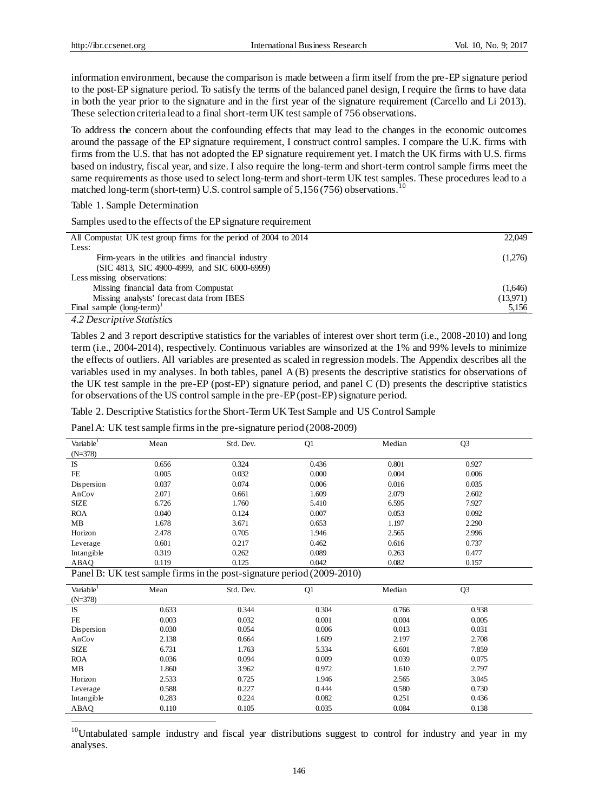information environment, because the comparison is made between a firm itself from the pre-EP signature period to the post-EP signature period. To satisfy the terms of the balanced panel design, I require the firms to have data in both the year prior to the signature and in the first year of the signature requirement (Carcello and Li 2013). These selection criteria lead to a final short-term UK test sample of 756 observations.

To address the concern about the confounding effects that may lead to the changes in the economic outcomes around the passage of the EP signature requirement, I construct control samples. I compare the U.K. firms with firms from the U.S. that has not adopted the EP signature requirement yet. I match the UK firms with U.S. firms based on industry, fiscal year, and size. I also require the long-term and short-term control sample firms meet the same requirements as those used to select long-term and short-term UK test samples. These procedures lead to a matched long-term (short-term) U.S. control sample of 5,156 (756) observations.<sup>10</sup>

Table 1. Sample Determination

Samples used to the effects of the EP signature requirement

| All Compustat UK test group firms for the period of 2004 to 2014 | 22,049   |
|------------------------------------------------------------------|----------|
| Less:                                                            |          |
| Firm-years in the utilities and financial industry               | (1,276)  |
| (SIC 4813, SIC 4900-4999, and SIC 6000-6999)                     |          |
| Less missing observations:                                       |          |
| Missing financial data from Compustat                            | (1,646)  |
| Missing analysts' forecast data from IBES                        | (13,971) |
| Final sample $(long-term)^T$                                     | 5,156    |
| .                                                                |          |

*4.2 Descriptive Statistics* 

1

Tables 2 and 3 report descriptive statistics for the variables of interest over short term (i.e., 2008-2010) and long term (i.e., 2004-2014), respectively. Continuous variables are winsorized at the 1% and 99% levels to minimize the effects of outliers. All variables are presented as scaled in regression models. The Appendix describes all the variables used in my analyses. In both tables, panel A (B) presents the descriptive statistics for observations of the UK test sample in the pre-EP (post-EP) signature period, and panel C (D) presents the descriptive statistics for observations of the US control sample in the pre-EP (post-EP) signature period.

Table 2. Descriptive Statistics for the Short-Term UK Test Sample and US Control Sample

Panel A: UK test sample firms in the pre-signature period (2008-2009)

| Variable <sup>1</sup>                                                  | Mean  | Std. Dev. | Q1    | Median | Q <sub>3</sub> |  |  |  |
|------------------------------------------------------------------------|-------|-----------|-------|--------|----------------|--|--|--|
| $(N=378)$                                                              |       |           |       |        |                |  |  |  |
| <b>IS</b>                                                              | 0.656 | 0.324     | 0.436 | 0.801  | 0.927          |  |  |  |
| FE                                                                     | 0.005 | 0.032     | 0.000 | 0.004  | 0.006          |  |  |  |
| Dispersion                                                             | 0.037 | 0.074     | 0.006 | 0.016  | 0.035          |  |  |  |
| AnCov                                                                  | 2.071 | 0.661     | 1.609 | 2.079  | 2.602          |  |  |  |
| <b>SIZE</b>                                                            | 6.726 | 1.760     | 5.410 | 6.595  | 7.927          |  |  |  |
| <b>ROA</b>                                                             | 0.040 | 0.124     | 0.007 | 0.053  | 0.092          |  |  |  |
| <b>MB</b>                                                              | 1.678 | 3.671     | 0.653 | 1.197  | 2.290          |  |  |  |
| Horizon                                                                | 2.478 | 0.705     | 1.946 | 2.565  | 2.996          |  |  |  |
| Leverage                                                               | 0.601 | 0.217     | 0.462 | 0.616  | 0.737          |  |  |  |
| Intangible                                                             | 0.319 | 0.262     | 0.089 | 0.263  | 0.477          |  |  |  |
| ABAQ                                                                   | 0.119 | 0.125     | 0.042 | 0.082  | 0.157          |  |  |  |
| Panel B: UK test sample firms in the post-signature period (2009-2010) |       |           |       |        |                |  |  |  |
| Variable <sup>1</sup>                                                  | Mean  | Std. Dev. | Q1    | Median | Q <sub>3</sub> |  |  |  |
| $(N=378)$                                                              |       |           |       |        |                |  |  |  |
| <b>IS</b>                                                              | 0.633 | 0.344     | 0.304 | 0.766  | 0.938          |  |  |  |
| FE                                                                     | 0.003 | 0.032     | 0.001 | 0.004  | 0.005          |  |  |  |
| Dispersion                                                             | 0.030 | 0.054     | 0.006 | 0.013  | 0.031          |  |  |  |
| AnCov                                                                  | 2.138 | 0.664     | 1.609 | 2.197  | 2.708          |  |  |  |
| <b>SIZE</b>                                                            | 6.731 | 1.763     | 5.334 | 6.601  | 7.859          |  |  |  |
| <b>ROA</b>                                                             | 0.036 | 0.094     | 0.009 | 0.039  | 0.075          |  |  |  |
| MB                                                                     | 1.860 | 3.962     | 0.972 | 1.610  | 2.797          |  |  |  |
| Horizon                                                                | 2.533 | 0.725     | 1.946 | 2.565  | 3.045          |  |  |  |
| Leverage                                                               | 0.588 | 0.227     | 0.444 | 0.580  | 0.730          |  |  |  |
| Intangible                                                             | 0.283 | 0.224     | 0.082 | 0.251  | 0.436          |  |  |  |
| ABAQ                                                                   | 0.110 | 0.105     | 0.035 | 0.084  | 0.138          |  |  |  |

 $10$ Untabulated sample industry and fiscal year distributions suggest to control for industry and year in my analyses.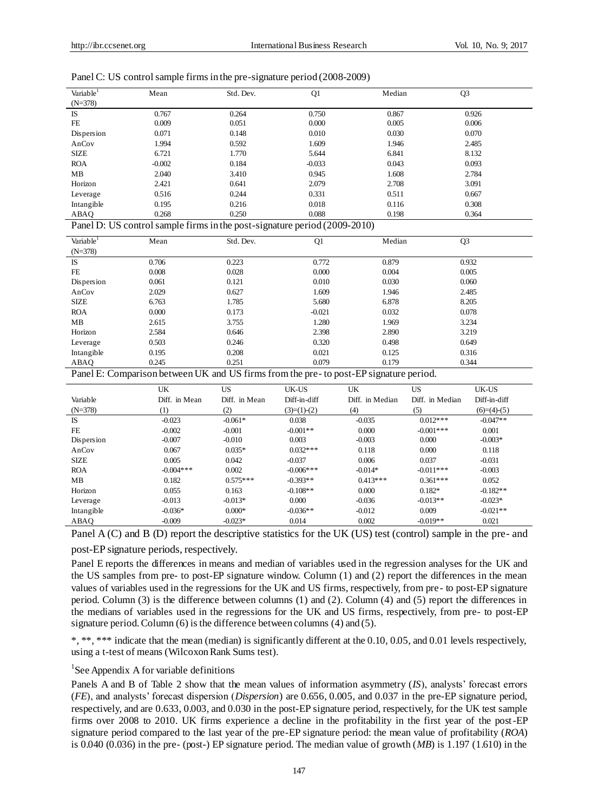|  |  | Panel C: US control sample firms in the pre-signature period (2008-2009) |  |
|--|--|--------------------------------------------------------------------------|--|
|  |  |                                                                          |  |

| Variable <sup>1</sup> | Mean     | Std. Dev.                                                                 | Q1       | Median | Q <sub>3</sub> |  |
|-----------------------|----------|---------------------------------------------------------------------------|----------|--------|----------------|--|
| $(N=378)$             |          |                                                                           |          |        |                |  |
| <b>IS</b>             | 0.767    | 0.264                                                                     | 0.750    | 0.867  | 0.926          |  |
| FE                    | 0.009    | 0.051                                                                     | 0.000    | 0.005  | 0.006          |  |
| Dispersion            | 0.071    | 0.148                                                                     | 0.010    | 0.030  | 0.070          |  |
| AnCov                 | 1.994    | 0.592                                                                     | 1.609    | 1.946  | 2.485          |  |
| <b>SIZE</b>           | 6.721    | 1.770                                                                     | 5.644    | 6.841  | 8.132          |  |
| <b>ROA</b>            | $-0.002$ | 0.184                                                                     | $-0.033$ | 0.043  | 0.093          |  |
| MB                    | 2.040    | 3.410                                                                     | 0.945    | 1.608  | 2.784          |  |
| Horizon               | 2.421    | 0.641                                                                     | 2.079    | 2.708  | 3.091          |  |
| Leverage              | 0.516    | 0.244                                                                     | 0.331    | 0.511  | 0.667          |  |
| Intangible            | 0.195    | 0.216                                                                     | 0.018    | 0.116  | 0.308          |  |
| ABAQ                  | 0.268    | 0.250                                                                     | 0.088    | 0.198  | 0.364          |  |
|                       |          | Panel D: US control sample firms in the post-signature period (2009-2010) |          |        |                |  |
| Variable <sup>1</sup> | Mean     | Std. Dev.                                                                 | Q1       | Median | Q3             |  |
| $(N=378)$             |          |                                                                           |          |        |                |  |
| <b>IS</b>             | 0.706    | 0.223                                                                     | 0.772    | 0.879  | 0.932          |  |
| FE                    | 0.008    | 0.028                                                                     | 0.000    | 0.004  | 0.005          |  |
| Dispersion            | 0.061    | 0.121                                                                     | 0.010    | 0.030  | 0.060          |  |
| AnCov                 | 2.029    | 0.627                                                                     | 1.609    | 1.946  | 2.485          |  |
| <b>SIZE</b>           | 6.763    | 1.785                                                                     | 5.680    | 6.878  | 8.205          |  |
| <b>ROA</b>            | 0.000    | 0.173                                                                     | $-0.021$ | 0.032  | 0.078          |  |
| MB                    | 2.615    | 3.755                                                                     | 1.280    | 1.969  | 3.234          |  |
| Horizon               | 2.584    | 0.646                                                                     | 2.398    | 2.890  | 3.219          |  |
| Leverage              | 0.503    | 0.246                                                                     | 0.320    | 0.498  | 0.649          |  |

Panel E: Comparison between UK and US firms from the pre- to post-EP signature period.

Intangible 0.195 0.208 0.021 0.125 0.316 ABAQ 0.245 0.251 0.079 0.179 0.344

|             | UK            | US.           | UK-US         | UK              | <b>US</b>       | UK-US         |
|-------------|---------------|---------------|---------------|-----------------|-----------------|---------------|
| Variable    | Diff. in Mean | Diff. in Mean | Diff-in-diff  | Diff. in Median | Diff. in Median | Diff-in-diff  |
| $(N=378)$   | (1)           | (2)           | $(3)=(1)-(2)$ | (4)             | (5)             | $(6)=(4)-(5)$ |
| IS          | $-0.023$      | $-0.061*$     | 0.038         | $-0.035$        | $0.012***$      | $-0.047**$    |
| FE          | $-0.002$      | $-0.001$      | $-0.001**$    | 0.000           | $-0.001***$     | 0.001         |
| Dispersion  | $-0.007$      | $-0.010$      | 0.003         | $-0.003$        | 0.000           | $-0.003*$     |
| AnCov       | 0.067         | $0.035*$      | $0.032***$    | 0.118           | 0.000           | 0.118         |
| <b>SIZE</b> | 0.005         | 0.042         | $-0.037$      | 0.006           | 0.037           | $-0.031$      |
| <b>ROA</b>  | $-0.004***$   | 0.002         | $-0.006***$   | $-0.014*$       | $-0.011***$     | $-0.003$      |
| MВ          | 0.182         | $0.575***$    | $-0.393**$    | $0.413***$      | $0.361***$      | 0.052         |
| Horizon     | 0.055         | 0.163         | $-0.108**$    | 0.000           | $0.182*$        | $-0.182**$    |
| Leverage    | $-0.013$      | $-0.013*$     | 0.000         | $-0.036$        | $-0.013**$      | $-0.023*$     |
| Intangible  | $-0.036*$     | $0.000*$      | $-0.036**$    | $-0.012$        | 0.009           | $-0.021**$    |
| ABAO        | $-0.009$      | $-0.023*$     | 0.014         | 0.002           | $-0.019**$      | 0.021         |

Panel A (C) and B (D) report the descriptive statistics for the UK (US) test (control) sample in the pre- and post-EP signature periods, respectively.

Panel E reports the differences in means and median of variables used in the regression analyses for the UK and the US samples from pre- to post-EP signature window. Column (1) and (2) report the differences in the mean values of variables used in the regressions for the UK and US firms, respectively, from pre- to post-EP signature period. Column (3) is the difference between columns (1) and (2). Column (4) and (5) report the differences in the medians of variables used in the regressions for the UK and US firms, respectively, from pre- to post-EP signature period. Column (6) is the difference between columns (4) and (5).

\*, \*\*, \*\*\* indicate that the mean (median) is significantly different at the 0.10, 0.05, and 0.01 levels respectively, using a t-test of means (Wilcoxon Rank Sums test).

<sup>1</sup>See Appendix A for variable definitions

Panels A and B of Table 2 show that the mean values of information asymmetry (*IS*), analysts' forecast errors (*FE*), and analysts' forecast dispersion (*Dispersion*) are 0.656, 0.005, and 0.037 in the pre-EP signature period, respectively, and are 0.633, 0.003, and 0.030 in the post-EP signature period, respectively, for the UK test sample firms over 2008 to 2010. UK firms experience a decline in the profitability in the first year of the post-EP signature period compared to the last year of the pre-EP signature period: the mean value of profitability (*ROA*) is 0.040 (0.036) in the pre- (post-) EP signature period. The median value of growth (*MB*) is 1.197 (1.610) in the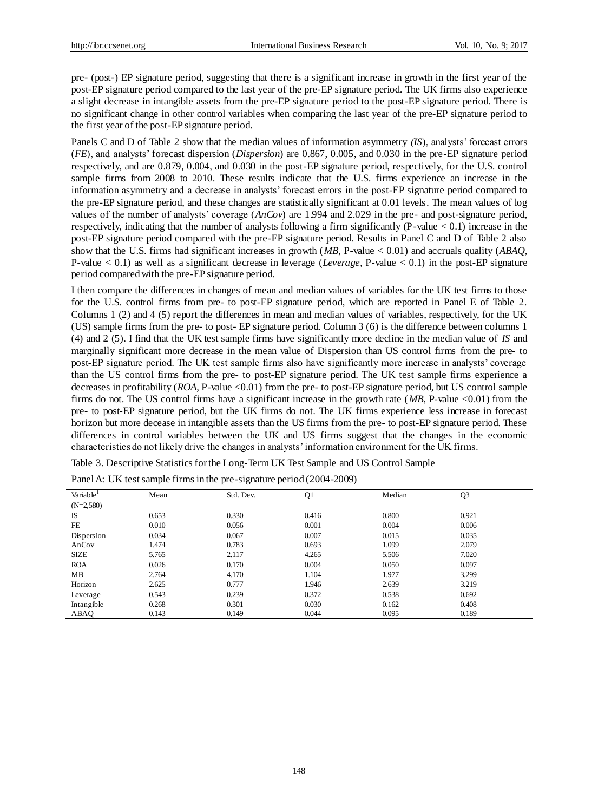pre- (post-) EP signature period, suggesting that there is a significant increase in growth in the first year of the post-EP signature period compared to the last year of the pre-EP signature period. The UK firms also experience a slight decrease in intangible assets from the pre-EP signature period to the post-EP signature period. There is no significant change in other control variables when comparing the last year of the pre-EP signature period to the first year of the post-EP signature period.

Panels C and D of Table 2 show that the median values of information asymmetry *(IS*), analysts' forecast errors (*FE*), and analysts' forecast dispersion (*Dispersion*) are 0.867, 0.005, and 0.030 in the pre-EP signature period respectively, and are 0.879, 0.004, and 0.030 in the post-EP signature period, respectively, for the U.S. control sample firms from 2008 to 2010. These results indicate that the U.S. firms experience an increase in the information asymmetry and a decrease in analysts' forecast errors in the post-EP signature period compared to the pre-EP signature period, and these changes are statistically significant at 0.01 levels. The mean values of log values of the number of analysts' coverage (*AnCov*) are 1.994 and 2.029 in the pre- and post-signature period, respectively, indicating that the number of analysts following a firm significantly  $(P$ -value  $< 0.1)$  increase in the post-EP signature period compared with the pre-EP signature period. Results in Panel C and D of Table 2 also show that the U.S. firms had significant increases in growth (*MB*, P-value < 0.01) and accruals quality (*ABAQ*, P-value < 0.1) as well as a significant decrease in leverage (*Leverage*, P-value < 0.1) in the post-EP signature period compared with the pre-EP signature period.

I then compare the differences in changes of mean and median values of variables for the UK test firms to those for the U.S. control firms from pre- to post-EP signature period, which are reported in Panel E of Table 2. Columns 1 (2) and 4 (5) report the differences in mean and median values of variables, respectively, for the UK (US) sample firms from the pre- to post- EP signature period. Column 3 (6) is the difference between columns 1 (4) and 2 (5). I find that the UK test sample firms have significantly more decline in the median value of *IS* and marginally significant more decrease in the mean value of Dispersion than US control firms from the pre- to post-EP signature period. The UK test sample firms also have significantly more increase in analysts' coverage than the US control firms from the pre- to post-EP signature period. The UK test sample firms experience a decreases in profitability (*ROA*, P-value <0.01) from the pre- to post-EP signature period, but US control sample firms do not. The US control firms have a significant increase in the growth rate (*MB*, P-value <0.01) from the pre- to post-EP signature period, but the UK firms do not. The UK firms experience less increase in forecast horizon but more decease in intangible assets than the US firms from the pre- to post-EP signature period. These differences in control variables between the UK and US firms suggest that the changes in the economic characteristics do not likely drive the changes in analysts' information environment for the UK firms.

Table 3. Descriptive Statistics for the Long-Term UK Test Sample and US Control Sample

| Variable <sup>1</sup> | Mean  | Std. Dev. | Q <sub>1</sub> | Median | Q <sub>3</sub> |  |
|-----------------------|-------|-----------|----------------|--------|----------------|--|
| $(N=2,580)$           |       |           |                |        |                |  |
| IS                    | 0.653 | 0.330     | 0.416          | 0.800  | 0.921          |  |
| FE                    | 0.010 | 0.056     | 0.001          | 0.004  | 0.006          |  |
| Dispersion            | 0.034 | 0.067     | 0.007          | 0.015  | 0.035          |  |
| AnCov                 | 1.474 | 0.783     | 0.693          | 1.099  | 2.079          |  |
| <b>SIZE</b>           | 5.765 | 2.117     | 4.265          | 5.506  | 7.020          |  |
| <b>ROA</b>            | 0.026 | 0.170     | 0.004          | 0.050  | 0.097          |  |
| MВ                    | 2.764 | 4.170     | 1.104          | 1.977  | 3.299          |  |
| Horizon               | 2.625 | 0.777     | 1.946          | 2.639  | 3.219          |  |
| Leverage              | 0.543 | 0.239     | 0.372          | 0.538  | 0.692          |  |
| Intangible            | 0.268 | 0.301     | 0.030          | 0.162  | 0.408          |  |
| ABAQ                  | 0.143 | 0.149     | 0.044          | 0.095  | 0.189          |  |

| Panel A: UK test sample firms in the pre-signature period (2004-2009) |  |
|-----------------------------------------------------------------------|--|
|-----------------------------------------------------------------------|--|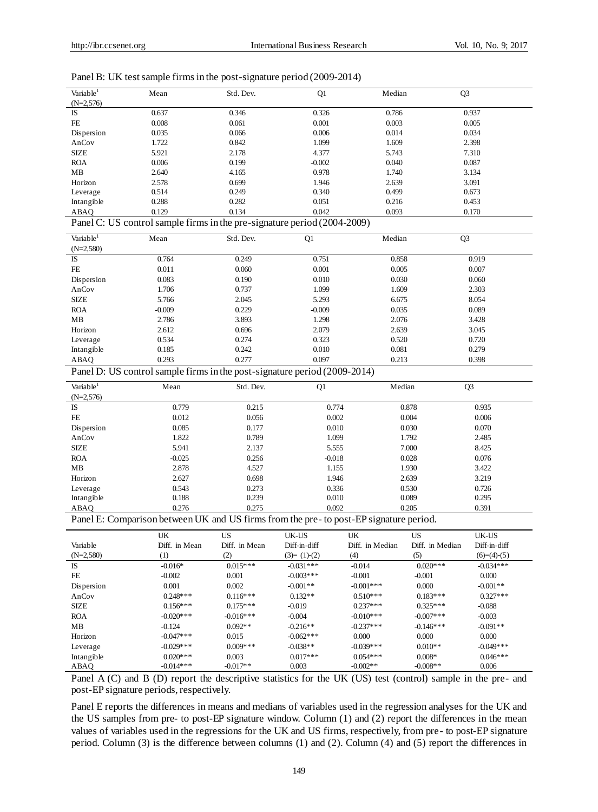# Panel B: UK test sample firms in the post-signature period (2009-2014)

| Variable <sup>1</sup>                                                                  | Mean                       | Std. Dev.      | Q1                        | Median          | Q <sub>3</sub>     |                |  |  |  |
|----------------------------------------------------------------------------------------|----------------------------|----------------|---------------------------|-----------------|--------------------|----------------|--|--|--|
| $(N=2,576)$                                                                            |                            |                |                           |                 |                    |                |  |  |  |
| IS                                                                                     | 0.637                      | 0.346          | 0.326                     | 0.786           |                    | 0.937          |  |  |  |
| FE                                                                                     | 0.008                      | 0.061          | 0.001                     | 0.003           |                    | 0.005          |  |  |  |
| Dispersion                                                                             | 0.035                      | 0.066          | 0.006                     | 0.014           |                    | 0.034          |  |  |  |
| AnCov                                                                                  | 1.722                      | 0.842          | 1.099                     | 1.609           |                    | 2.398          |  |  |  |
| <b>SIZE</b>                                                                            | 5.921                      | 2.178          | 4.377                     | 5.743           |                    | 7.310          |  |  |  |
| <b>ROA</b>                                                                             | 0.006                      | 0.199          | $-0.002$                  | 0.040           |                    | 0.087          |  |  |  |
| MB                                                                                     | 2.640                      | 4.165          | 0.978                     | 1.740           |                    | 3.134          |  |  |  |
| Horizon                                                                                | 2.578                      | 0.699          | 1.946                     | 2.639           |                    | 3.091          |  |  |  |
| Leverage                                                                               | 0.514                      | 0.249          | 0.340                     | 0.499           |                    | 0.673          |  |  |  |
| Intangible                                                                             | 0.288                      | 0.282          | 0.051                     | 0.216           |                    | 0.453          |  |  |  |
| ABAQ                                                                                   | 0.129                      | 0.134          | 0.042                     | 0.093           |                    | 0.170          |  |  |  |
| Panel C: US control sample firms in the pre-signature period (2004-2009)               |                            |                |                           |                 |                    |                |  |  |  |
| Variable <sup>1</sup>                                                                  | Mean                       | Std. Dev.      | Q1                        | Median          | Q <sub>3</sub>     |                |  |  |  |
| $(N=2,580)$                                                                            |                            |                |                           |                 |                    |                |  |  |  |
| <b>IS</b>                                                                              | 0.764                      | 0.249          | 0.751                     | 0.858           |                    | 0.919          |  |  |  |
| FE                                                                                     | 0.011                      | 0.060          | 0.001                     | 0.005           |                    | 0.007          |  |  |  |
| Dispersion                                                                             | 0.083                      | 0.190          | 0.010                     | 0.030           |                    | 0.060          |  |  |  |
| AnCov                                                                                  | 1.706                      | 0.737          | 1.099                     | 1.609           |                    | 2.303          |  |  |  |
| <b>SIZE</b>                                                                            | 5.766                      | 2.045          | 5.293                     | 6.675           |                    | 8.054          |  |  |  |
| <b>ROA</b>                                                                             | $-0.009$                   | 0.229          | $-0.009$                  | 0.035           |                    | 0.089          |  |  |  |
| MB                                                                                     | 2.786                      | 3.893          | 1.298                     | 2.076           |                    | 3.428          |  |  |  |
| Horizon                                                                                | 2.612                      | 0.696          | 2.079                     | 2.639           |                    | 3.045          |  |  |  |
| Leverage                                                                               | 0.534                      | 0.274          | 0.323                     | 0.520           |                    | 0.720          |  |  |  |
| Intangible                                                                             | 0.185                      | 0.242          | 0.010                     | 0.081           |                    | 0.279          |  |  |  |
|                                                                                        |                            |                |                           |                 |                    |                |  |  |  |
| ABAO                                                                                   | 0.293                      | 0.277          | 0.097                     | 0.213           |                    | 0.398          |  |  |  |
| Panel D: US control sample firms in the post-signature period (2009-2014)              |                            |                |                           |                 |                    |                |  |  |  |
| Variable <sup>1</sup>                                                                  | Mean                       | Std. Dev.      | Q1                        | Median          |                    | Q <sub>3</sub> |  |  |  |
| $(N=2,576)$                                                                            |                            |                |                           |                 |                    |                |  |  |  |
| IS                                                                                     | 0.779                      | 0.215          | 0.774                     |                 | 0.878              | 0.935          |  |  |  |
| ${\rm FE}$                                                                             | 0.012                      | 0.056          | 0.002                     |                 | 0.004              | 0.006          |  |  |  |
| Dispersion                                                                             | 0.085                      | 0.177          | 0.010                     |                 | 0.030              | 0.070          |  |  |  |
| AnCov                                                                                  | 1.822                      | 0.789          | 1.099                     |                 | 1.792              | 2.485          |  |  |  |
| <b>SIZE</b>                                                                            | 5.941                      | 2.137          | 5.555                     |                 | 7.000              | 8.425          |  |  |  |
| <b>ROA</b>                                                                             | $-0.025$                   | 0.256          | $-0.018$                  |                 | 0.028              | 0.076          |  |  |  |
| MB                                                                                     | 2.878                      | 4.527          | 1.155                     |                 | 1.930              | 3.422          |  |  |  |
|                                                                                        |                            |                |                           |                 |                    |                |  |  |  |
| Horizon                                                                                | 2.627<br>0.543             | 0.698<br>0.273 | 1.946                     |                 | 2.639              | 3.219          |  |  |  |
| Leverage                                                                               |                            |                | 0.336<br>0.530            |                 |                    | 0.726          |  |  |  |
| Intangible                                                                             |                            |                |                           |                 |                    |                |  |  |  |
|                                                                                        | 0.188                      | 0.239          | 0.010                     |                 | 0.089              | 0.295          |  |  |  |
| ABAQ                                                                                   | 0.276                      | 0.275          | 0.092                     |                 | 0.205              | 0.391          |  |  |  |
| Panel E: Comparison between UK and US firms from the pre- to post-EP signature period. |                            |                |                           |                 |                    |                |  |  |  |
|                                                                                        | UK                         | <b>US</b>      | UK-US                     | UK              | <b>US</b>          | UK-US          |  |  |  |
| Variable                                                                               | Diff. in Mean              | Diff. in Mean  | Diff-in-diff              | Diff. in Median | Diff. in Median    | Diff-in-diff   |  |  |  |
| $(N=2,580)$                                                                            | (1)                        | (2)            | $(3)=(1)-(2)$             | (4)             | (5)                | $(6)=(4)-(5)$  |  |  |  |
| IS                                                                                     | $-0.016*$                  | $0.015***$     | $-0.031***$               | $-0.014$        | $0.020***$         | $-0.034***$    |  |  |  |
| FE                                                                                     | $-0.002$                   | 0.001          | $-0.003***$               | $-0.001$        | $-0.001$           | 0.000          |  |  |  |
| Dispersion                                                                             | 0.001                      | 0.002          | $-0.001**$                | $-0.001***$     | 0.000              | $-0.001**$     |  |  |  |
| AnCov                                                                                  | $0.248***$                 | $0.116***$     | $0.132**$                 | $0.510***$      | $0.183***$         | $0.327***$     |  |  |  |
| <b>SIZE</b>                                                                            | $0.156***$                 | $0.175***$     | $-0.019$                  | $0.237***$      | $0.325***$         | $-0.088$       |  |  |  |
|                                                                                        | $-0.020$ ***               | $-0.016***$    | $-0.004$                  | $-0.010***$     | $-0.007***$        | $-0.003$       |  |  |  |
| <b>ROA</b><br>MB                                                                       | $-0.124$                   | $0.092**$      | $-0.216**$                | $-0.237***$     | $-0.146***$        | $-0.091**$     |  |  |  |
| Horizon                                                                                |                            | 0.015          |                           | 0.000           |                    | 0.000          |  |  |  |
| Leverage                                                                               | $-0.047***$<br>$-0.029***$ | $0.009***$     | $-0.062***$<br>$-0.038**$ | $-0.039***$     | 0.000<br>$0.010**$ | $-0.049***$    |  |  |  |

Panel A (C) and B (D) report the descriptive statistics for the UK (US) test (control) sample in the pre- and post-EP signature periods, respectively.

ABAQ -0.014\*\*\* -0.017\*\* 0.003 -0.002\*\* -0.008\*\* 0.006

Panel E reports the differences in means and medians of variables used in the regression analyses for the UK and the US samples from pre- to post-EP signature window. Column (1) and (2) report the differences in the mean values of variables used in the regressions for the UK and US firms, respectively, from pre- to post-EP signature period. Column (3) is the difference between columns (1) and (2). Column (4) and (5) report the differences in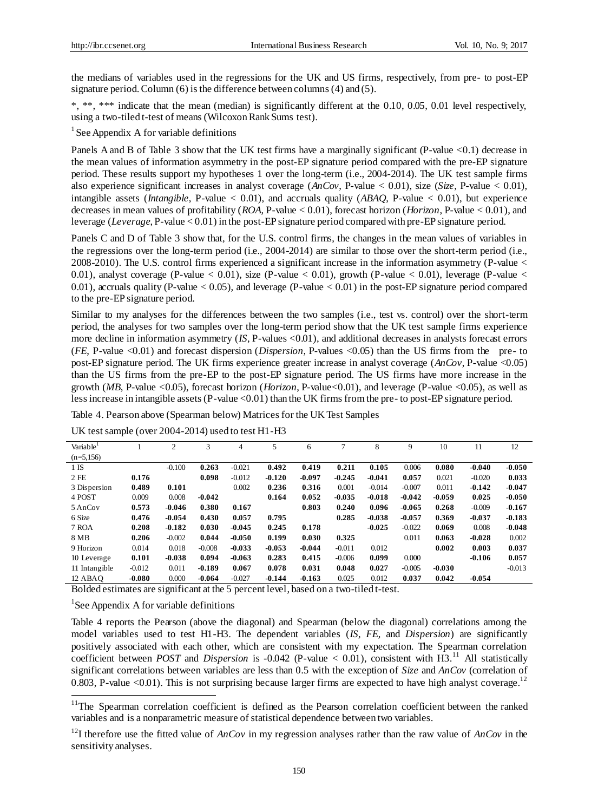the medians of variables used in the regressions for the UK and US firms, respectively, from pre- to post-EP signature period. Column (6) is the difference between columns (4) and (5).

\*, \*\*, \*\*\* indicate that the mean (median) is significantly different at the 0.10, 0.05, 0.01 level respectively, using a two-tiled t-test of means (Wilcoxon Rank Sums test).

 $<sup>1</sup>$  See Appendix A for variable definitions</sup>

Panels A and B of Table 3 show that the UK test firms have a marginally significant (P-value <0.1) decrease in the mean values of information asymmetry in the post-EP signature period compared with the pre-EP signature period. These results support my hypotheses 1 over the long-term (i.e., 2004-2014). The UK test sample firms also experience significant increases in analyst coverage (*AnCov*, P-value < 0.01), size (*Size*, P-value < 0.01), intangible assets (*Intangible*, P-value < 0.01), and accruals quality (*ABAQ*, P-value < 0.01), but experience decreases in mean values of profitability (*ROA*, P-value < 0.01), forecast horizon (*Horizon*, P-value < 0.01), and leverage (*Leverage*, P-value < 0.01) in the post-EP signature period compared with pre-EP signature period.

Panels C and D of Table 3 show that, for the U.S. control firms, the changes in the mean values of variables in the regressions over the long-term period (i.e., 2004-2014) are similar to those over the short-term period (i.e., 2008-2010). The U.S. control firms experienced a significant increase in the information asymmetry (P-value < 0.01), analyst coverage (P-value  $< 0.01$ ), size (P-value  $< 0.01$ ), growth (P-value  $< 0.01$ ), leverage (P-value  $<$ 0.01), accruals quality (P-value  $< 0.05$ ), and leverage (P-value  $< 0.01$ ) in the post-EP signature period compared to the pre-EP signature period.

Similar to my analyses for the differences between the two samples (i.e., test vs. control) over the short-term period, the analyses for two samples over the long-term period show that the UK test sample firms experience more decline in information asymmetry (*IS*, P-values <0.01), and additional decreases in analysts forecast errors (*FE*, P-value <0.01) and forecast dispersion (*Dispersion*, P-values <0.05) than the US firms from the pre- to post-EP signature period. The UK firms experience greater increase in analyst coverage (*AnCov*, P-value <0.05) than the US firms from the pre-EP to the post-EP signature period. The US firms have more increase in the growth (*MB*, P-value <0.05), forecast horizon (*Horizon*, P-value<0.01), and leverage (P-value <0.05), as well as less increase in intangible assets (P-value <0.01) than the UK firms from the pre- to post-EP signature period.

| $\overline{C}$ K itst sample (0 ket 2004-2014) used to test 111-115 |          |                |          |          |          |          |          |          |          |          |          |          |
|---------------------------------------------------------------------|----------|----------------|----------|----------|----------|----------|----------|----------|----------|----------|----------|----------|
| Variable <sup>1</sup>                                               |          | $\overline{c}$ | 3        | 4        | 5        | 6        | 7        | 8        | 9        | 10       | 11       | 12       |
| $(n=5,156)$                                                         |          |                |          |          |          |          |          |          |          |          |          |          |
| $1$ IS                                                              |          | $-0.100$       | 0.263    | $-0.021$ | 0.492    | 0.419    | 0.211    | 0.105    | 0.006    | 0.080    | $-0.040$ | $-0.050$ |
| 2 FE                                                                | 0.176    |                | 0.098    | $-0.012$ | $-0.120$ | $-0.097$ | $-0.245$ | $-0.041$ | 0.057    | 0.021    | $-0.020$ | 0.033    |
| 3 Dispersion                                                        | 0.489    | 0.101          |          | 0.002    | 0.236    | 0.316    | 0.001    | $-0.014$ | $-0.007$ | 0.011    | $-0.142$ | $-0.047$ |
| 4 POST                                                              | 0.009    | 0.008          | $-0.042$ |          | 0.164    | 0.052    | $-0.035$ | $-0.018$ | $-0.042$ | $-0.059$ | 0.025    | $-0.050$ |
| 5 AnCov                                                             | 0.573    | $-0.046$       | 0.380    | 0.167    |          | 0.803    | 0.240    | 0.096    | $-0.065$ | 0.268    | $-0.009$ | $-0.167$ |
| 6 Size                                                              | 0.476    | $-0.054$       | 0.430    | 0.057    | 0.795    |          | 0.285    | $-0.038$ | $-0.057$ | 0.369    | $-0.037$ | $-0.183$ |
| 7 ROA                                                               | 0.208    | $-0.182$       | 0.030    | $-0.045$ | 0.245    | 0.178    |          | $-0.025$ | $-0.022$ | 0.069    | 0.008    | $-0.048$ |
| 8 MB                                                                | 0.206    | $-0.002$       | 0.044    | $-0.050$ | 0.199    | 0.030    | 0.325    |          | 0.011    | 0.063    | $-0.028$ | 0.002    |
| 9 Horizon                                                           | 0.014    | 0.018          | $-0.008$ | $-0.033$ | $-0.053$ | $-0.044$ | $-0.011$ | 0.012    |          | 0.002    | 0.003    | 0.037    |
| 10 Leverage                                                         | 0.101    | $-0.038$       | 0.094    | $-0.063$ | 0.283    | 0.415    | $-0.006$ | 0.099    | 0.000    |          | $-0.106$ | 0.057    |
| 11 Intangible                                                       | $-0.012$ | 0.011          | $-0.189$ | 0.067    | 0.078    | 0.031    | 0.048    | 0.027    | $-0.005$ | $-0.030$ |          | $-0.013$ |
| 12 ABAO                                                             | $-0.080$ | 0.000          | $-0.064$ | $-0.027$ | $-0.144$ | $-0.163$ | 0.025    | 0.012    | 0.037    | 0.042    | $-0.054$ |          |

UK test sample (over 2004-2014) used to test H1-H3

Table 4. Pearson above (Spearman below) Matrices for the UK Test Samples

Bolded estimates are significant at the 5 percent level, based on a two-tiled t-test.

<sup>1</sup>See Appendix A for variable definitions

<u>.</u>

Table 4 reports the Pearson (above the diagonal) and Spearman (below the diagonal) correlations among the model variables used to test H1-H3. The dependent variables (*IS*, *FE*, and *Dispersion*) are significantly positively associated with each other, which are consistent with my expectation. The Spearman correlation coefficient between *POST* and *Dispersion* is -0.042 (P-value  $<$  0.01), consistent with H3.<sup>11</sup> All statistically significant correlations between variables are less than 0.5 with the exception of *Size* and *AnCov* (correlation of 0.803, P-value  $<$ 0.01). This is not surprising because larger firms are expected to have high analyst coverage.<sup>12</sup>

<sup>&</sup>lt;sup>11</sup>The Spearman correlation coefficient is defined as the [Pearson correlation coefficient](https://en.wikipedia.org/wiki/Pearson_product-moment_correlation_coefficient) between the ranked [variables](https://en.wikipedia.org/wiki/Ranking) and is a [nonparametric](https://en.wikipedia.org/wiki/Non-parametric_statistics) measure of [statistical dependence](https://en.wikipedia.org/wiki/Correlation_and_dependence) between two [variables.](https://en.wikipedia.org/wiki/Variable_(mathematics)#Applied_statistics)

<sup>&</sup>lt;sup>12</sup>I therefore use the fitted value of  $AnCov$  in my regression analyses rather than the raw value of  $AnCov$  in the sensitivity analyses.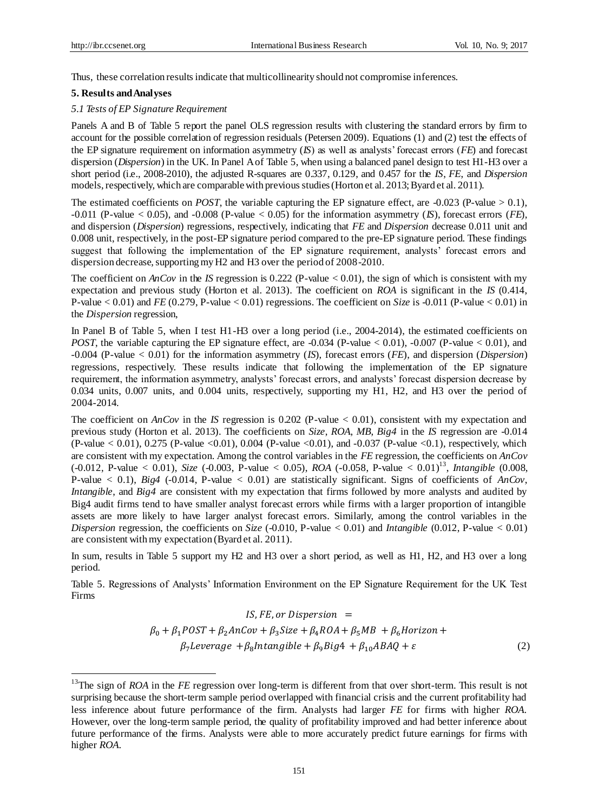<u>.</u>

Thus, these correlation results indicate that multicollinearity should not compromise inferences.

#### **5. Results and Analyses**

#### *5.1 Tests of EP Signature Requirement*

Panels A and B of Table 5 report the panel OLS regression results with clustering the standard errors by firm to account for the possible correlation of regression residuals (Petersen 2009). Equations (1) and (2) test the effects of the EP signature requirement on information asymmetry (*IS*) as well as analysts' forecast errors (*FE*) and forecast dispersion (*Dispersion*) in the UK. In Panel A of Table 5, when using a balanced panel design to test H1-H3 over a short period (i.e., 2008-2010), the adjusted R-squares are 0.337, 0.129, and 0.457 for the *IS*, *FE*, and *Dispersion* models, respectively, which are comparable with previous studies (Horton et al. 2013; Byard et al. 2011).

The estimated coefficients on *POST*, the variable capturing the EP signature effect, are  $-0.023$  (P-value  $> 0.1$ ), -0.011 (P-value < 0.05), and -0.008 (P-value < 0.05) for the information asymmetry (*IS*), forecast errors (*FE*), and dispersion (*Dispersion*) regressions, respectively, indicating that *FE* and *Dispersion* decrease 0.011 unit and 0.008 unit, respectively, in the post-EP signature period compared to the pre-EP signature period. These findings suggest that following the implementation of the EP signature requirement, analysts' forecast errors and dispersion decrease, supporting my H2 and H3 over the period of 2008-2010.

The coefficient on  $AnCov$  in the *IS* regression is 0.222 (P-value  $< 0.01$ ), the sign of which is consistent with my expectation and previous study (Horton et al. 2013). The coefficient on *ROA* is significant in the *IS* (0.414, P-value  $< 0.01$ ) and *FE* (0.279, P-value  $< 0.01$ ) regressions. The coefficient on *Size* is -0.011 (P-value  $< 0.01$ ) in the *Dispersion* regression,

In Panel B of Table 5, when I test H1-H3 over a long period (i.e., 2004-2014), the estimated coefficients on *POST*, the variable capturing the EP signature effect, are -0.034 (P-value < 0.01), -0.007 (P-value < 0.01), and -0.004 (P-value < 0.01) for the information asymmetry (*IS*), forecast errors (*FE*), and dispersion (*Dispersion*) regressions, respectively. These results indicate that following the implementation of the EP signature requirement, the information asymmetry, analysts' forecast errors, and analysts' forecast dispersion decrease by 0.034 units, 0.007 units, and 0.004 units, respectively, supporting my H1, H2, and H3 over the period of 2004-2014.

The coefficient on *AnCov* in the *IS* regression is 0.202 (P-value < 0.01), consistent with my expectation and previous study (Horton et al. 2013). The coefficients on *Size*, *ROA*, *MB*, *Big4* in the *IS* regression are -0.014  $(P-value < 0.01)$ , 0.275 (P-value  $< 0.01$ ), 0.004 (P-value  $< 0.01$ ), and -0.037 (P-value  $< 0.1$ ), respectively, which are consistent with my expectation. Among the control variables in the *FE* regression, the coefficients on *AnCov*  $(-0.012, \text{ P-value} < 0.01), \text{ Size } (-0.003, \text{ P-value} < 0.05), \text{ ROA } (-0.058, \text{ P-value} < 0.01)^{13}, \text{ Intangible } (0.008, \text{ P-value} < 0.01)^{13}, \text{ Intangible } (0.008, \text{ P-value} < 0.01)^{13}$ P-value < 0.1), *Big4* (-0.014, P-value < 0.01) are statistically significant. Signs of coefficients of *AnCov*, *Intangible*, and *Big4* are consistent with my expectation that firms followed by more analysts and audited by Big4 audit firms tend to have smaller analyst forecast errors while firms with a larger proportion of intangible assets are more likely to have larger analyst forecast errors. Similarly, among the control variables in the *Dispersion* regression, the coefficients on *Size* (-0.010, P-value < 0.01) and *Intangible* (0.012, P-value < 0.01) are consistent with my expectation (Byard et al. 2011).

In sum, results in Table 5 support my H2 and H3 over a short period, as well as H1, H2, and H3 over a long period.

Table 5. Regressions of Analysts' Information Environment on the EP Signature Requirement for the UK Test Firms

*IS, FE, or Disversion* =  
\n
$$
\beta_0 + \beta_1 POST + \beta_2 AnCov + \beta_3 Size + \beta_4 ROA + \beta_5 MB + \beta_6 Horizon +
$$
\n
$$
\beta_7 Leverage + \beta_8 Intangible + \beta_9 Big4 + \beta_{10} ABAQ + \varepsilon
$$
\n(2)

<sup>&</sup>lt;sup>13</sup>The sign of *ROA* in the *FE* regression over long-term is different from that over short-term. This result is not surprising because the short-term sample period overlapped with financial crisis and the current profitability had less inference about future performance of the firm. Analysts had larger *FE* for firms with higher *ROA*. However, over the long-term sample period, the quality of profitability improved and had better inference about future performance of the firms. Analysts were able to more accurately predict future earnings for firms with higher *ROA*.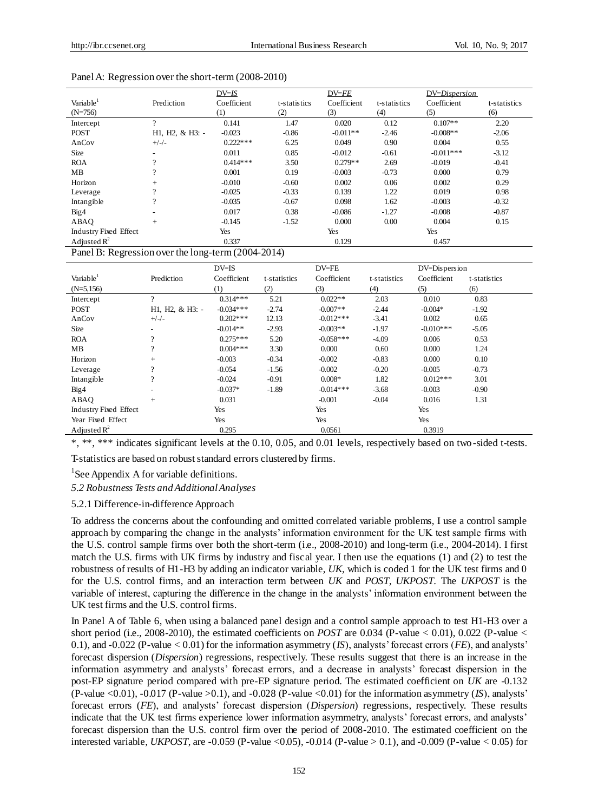|                                |                 | $DV = IS$     |              | $D$ V= $FE$ |              | DV=Dispersion |              |
|--------------------------------|-----------------|---------------|--------------|-------------|--------------|---------------|--------------|
| Variable <sup>1</sup>          | Prediction      | Coefficient   | t-statistics | Coefficient | t-statistics | Coefficient   | t-statistics |
| $(N=756)$                      |                 | (1)           | (2)          | (3)         | (4)          | (5)           | (6)          |
| Intercept                      | Q.              | 0.141         | 1.47         | 0.020       | 0.12         | $0.107**$     | 2.20         |
| <b>POST</b>                    | H1, H2, & H3: - | $-0.023$      | $-0.86$      | $-0.011**$  | $-2.46$      | $-0.008**$    | $-2.06$      |
| AnCov                          | $+/-/ -$        | $0.222***$    | 6.25         | 0.049       | 0.90         | 0.004         | 0.55         |
| <b>Size</b>                    |                 | 0.011         | 0.85         | $-0.012$    | $-0.61$      | $-0.011***$   | $-3.12$      |
| <b>ROA</b>                     | 9               | $0.414***$    | 3.50         | $0.279**$   | 2.69         | $-0.019$      | $-0.41$      |
| MВ                             | າ               | 0.001         | 0.19         | $-0.003$    | $-0.73$      | 0.000         | 0.79         |
| Horizon                        | $^{+}$          | $-0.010$      | $-0.60$      | 0.002       | 0.06         | 0.002         | 0.29         |
| Leverage                       | 2               | $-0.025$      | $-0.33$      | 0.139       | 1.22         | 0.019         | 0.98         |
| Intangible                     | 2               | $-0.035$      | $-0.67$      | 0.098       | 1.62         | $-0.003$      | $-0.32$      |
| Big4                           |                 | 0.017         | 0.38         | $-0.086$    | $-1.27$      | $-0.008$      | $-0.87$      |
| ABAQ                           | $^{+}$          | $-0.145$      | $-1.52$      | 0.000       | 0.00         | 0.004         | 0.15         |
| <b>Industry Fixed Effect</b>   |                 | Yes           |              | Yes         |              | Yes           |              |
| Adjusted $\mathbb{R}^2$        |                 | 0.337         |              | 0.129       |              | 0.457         |              |
| $\bullet$<br>$n \rightarrow n$ | $-1$ $-1$       | (0.001, 0.01) |              |             |              |               |              |

#### Panel A: Regression over the short-term (2008-2010)

Panel B: Regression over the long-term (2004-2014)

|                              |                 | $DV = IS$   |              | DV=FE       |              | DV=Dispersion |              |
|------------------------------|-----------------|-------------|--------------|-------------|--------------|---------------|--------------|
| Variable <sup>1</sup>        | Prediction      | Coefficient | t-statistics | Coefficient | t-statistics | Coefficient   | t-statistics |
| $(N=5,156)$                  |                 | (1)         | (2)          | (3)         | (4)          | (5)           | (6)          |
| Intercept                    | ?               | $0.314***$  | 5.21         | $0.022**$   | 2.03         | 0.010         | 0.83         |
| POST                         | H1, H2, & H3: - | $-0.034***$ | $-2.74$      | $-0.007**$  | $-2.44$      | $-0.004*$     | $-1.92$      |
| AnCov                        | $+/-/ -$        | $0.202***$  | 12.13        | $-0.012***$ | $-3.41$      | 0.002         | 0.65         |
| Size                         |                 | $-0.014**$  | $-2.93$      | $-0.003**$  | $-1.97$      | $-0.010***$   | $-5.05$      |
| <b>ROA</b>                   | $\mathcal{P}$   | $0.275***$  | 5.20         | $-0.058***$ | $-4.09$      | 0.006         | 0.53         |
| MВ                           | 9               | $0.004***$  | 3.30         | 0.000       | 0.60         | 0.000         | 1.24         |
| Horizon                      | $^{+}$          | $-0.003$    | $-0.34$      | $-0.002$    | $-0.83$      | 0.000         | 0.10         |
| Leverage                     | $\mathcal{P}$   | $-0.054$    | $-1.56$      | $-0.002$    | $-0.20$      | $-0.005$      | $-0.73$      |
| Intangible                   | ?               | $-0.024$    | $-0.91$      | $0.008*$    | 1.82         | $0.012***$    | 3.01         |
| Big4                         |                 | $-0.037*$   | $-1.89$      | $-0.014***$ | $-3.68$      | $-0.003$      | $-0.90$      |
| ABAO                         | $+$             | 0.031       |              | $-0.001$    | $-0.04$      | 0.016         | 1.31         |
| <b>Industry Fixed Effect</b> |                 | Yes         |              | Yes         |              | Yes           |              |
| Year Fixed Effect            |                 | Yes         |              | Yes         |              | Yes           |              |
| Adjusted $\mathbb{R}^2$      |                 | 0.295       |              | 0.0561      |              | 0.3919        |              |

\*, \*\*, \*\*\* indicates significant levels at the 0.10, 0.05, and 0.01 levels, respectively based on two-sided t-tests.

T-statistics are based on robust standard errors clustered by firms.

<sup>1</sup>See Appendix A for variable definitions.

*5.2 Robustness Tests and Additional Analyses* 

#### 5.2.1 Difference-in-difference Approach

To address the concerns about the confounding and omitted correlated variable problems, I use a control sample approach by comparing the change in the analysts' information environment for the UK test sample firms with the U.S. control sample firms over both the short-term (i.e., 2008-2010) and long-term (i.e., 2004-2014). I first match the U.S. firms with UK firms by industry and fiscal year. I then use the equations (1) and (2) to test the robustness of results of H1-H3 by adding an indicator variable, *UK*, which is coded 1 for the UK test firms and 0 for the U.S. control firms, and an interaction term between *UK* and *POST*, *UKPOST*. The *UKPOST* is the variable of interest, capturing the difference in the change in the analysts' information environment between the UK test firms and the U.S. control firms.

In Panel A of Table 6, when using a balanced panel design and a control sample approach to test H1-H3 over a short period (i.e., 2008-2010), the estimated coefficients on *POST* are 0.034 (P-value  $<$  0.01), 0.022 (P-value  $<$ 0.1), and -0.022 (P-value < 0.01) for the information asymmetry (*IS*), analysts' forecast errors (*FE*), and analysts' forecast dispersion (*Dispersion*) regressions, respectively. These results suggest that there is an increase in the information asymmetry and analysts' forecast errors, and a decrease in analysts' forecast dispersion in the post-EP signature period compared with pre-EP signature period. The estimated coefficient on *UK* are -0.132 (P-value <0.01), -0.017 (P-value >0.1), and -0.028 (P-value <0.01) for the information asymmetry (*IS*), analysts' forecast errors (*FE*), and analysts' forecast dispersion (*Dispersion*) regressions, respectively. These results indicate that the UK test firms experience lower information asymmetry, analysts' forecast errors, and analysts' forecast dispersion than the U.S. control firm over the period of 2008-2010. The estimated coefficient on the interested variable, *UKPOST*, are -0.059 (P-value <0.05), -0.014 (P-value > 0.1), and -0.009 (P-value < 0.05) for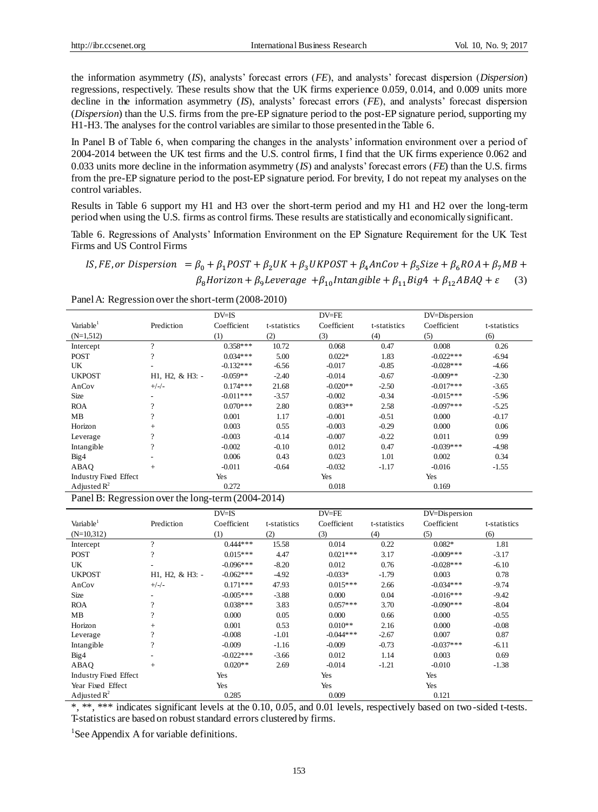the information asymmetry (*IS*), analysts' forecast errors (*FE*), and analysts' forecast dispersion (*Dispersion*) regressions, respectively. These results show that the UK firms experience 0.059, 0.014, and 0.009 units more decline in the information asymmetry (*IS*), analysts' forecast errors (*FE*), and analysts' forecast dispersion (*Dispersion*) than the U.S. firms from the pre-EP signature period to the post-EP signature period, supporting my H1-H3. The analyses for the control variables are similar to those presented in the Table 6.

In Panel B of Table 6, when comparing the changes in the analysts' information environment over a period of 2004-2014 between the UK test firms and the U.S. control firms, I find that the UK firms experience 0.062 and 0.033 units more decline in the information asymmetry (*IS*) and analysts' forecast errors (*FE*) than the U.S. firms from the pre-EP signature period to the post-EP signature period. For brevity, I do not repeat my analyses on the control variables.

Results in Table 6 support my H1 and H3 over the short-term period and my H1 and H2 over the long-term period when using the U.S. firms as control firms. These results are statistically and economically significant.

Table 6. Regressions of Analysts' Information Environment on the EP Signature Requirement for the UK Test Firms and US Control Firms

IS, FE, or Dispersion =  $\beta_0 + \beta_1$ POST +  $\beta_2$ UK +  $\beta_3$ UKPOST +  $\beta_4$ AnCov +  $\beta_5$ Size +  $\beta_6$ ROA +  $\beta_7$ MB +  $\beta_8$ Horizon +  $\beta_9$ Leverage +  $\beta_{10}$ Intangible +  $\beta_{11}$ Big4 +  $\beta_{12}$ ABAQ +  $\varepsilon$  (3)

Panel A: Regression over the short-term (2008-2010)

|                              |                 | $DV=IS$     |              | DV=FE       |              | DV=Dispersion |              |
|------------------------------|-----------------|-------------|--------------|-------------|--------------|---------------|--------------|
| Variable <sup>1</sup>        | Prediction      | Coefficient | t-statistics | Coefficient | t-statistics | Coefficient   | t-statistics |
| $(N=1,512)$                  |                 | (1)         | (2)          | (3)         | (4)          | (5)           | (6)          |
| Intercept                    | $\Omega$        | $0.358***$  | 10.72        | 0.068       | 0.47         | 0.008         | 0.26         |
| <b>POST</b>                  | $\mathcal{D}$   | $0.034***$  | 5.00         | $0.022*$    | 1.83         | $-0.022***$   | $-6.94$      |
| UK.                          |                 | $-0.132***$ | $-6.56$      | $-0.017$    | $-0.85$      | $-0.028***$   | $-4.66$      |
| <b>UKPOST</b>                | H1, H2, & H3: - | $-0.059**$  | $-2.40$      | $-0.014$    | $-0.67$      | $-0.009**$    | $-2.30$      |
| AnCov                        | $+/-/ -$        | $0.174***$  | 21.68        | $-0.020**$  | $-2.50$      | $-0.017***$   | $-3.65$      |
| Size                         |                 | $-0.011***$ | $-3.57$      | $-0.002$    | $-0.34$      | $-0.015***$   | $-5.96$      |
| <b>ROA</b>                   | $\mathcal{D}$   | $0.070***$  | 2.80         | $0.083**$   | 2.58         | $-0.097***$   | $-5.25$      |
| MB                           | $\Omega$        | 0.001       | 1.17         | $-0.001$    | $-0.51$      | 0.000         | $-0.17$      |
| Horizon                      | $^{+}$          | 0.003       | 0.55         | $-0.003$    | $-0.29$      | 0.000         | 0.06         |
| Leverage                     | $\mathcal{P}$   | $-0.003$    | $-0.14$      | $-0.007$    | $-0.22$      | 0.011         | 0.99         |
| Intangible                   | $\mathcal{P}$   | $-0.002$    | $-0.10$      | 0.012       | 0.47         | $-0.039***$   | $-4.98$      |
| Big4                         |                 | 0.006       | 0.43         | 0.023       | 1.01         | 0.002         | 0.34         |
| ABAQ                         | $^{+}$          | $-0.011$    | $-0.64$      | $-0.032$    | $-1.17$      | $-0.016$      | $-1.55$      |
| <b>Industry Fixed Effect</b> |                 | Yes         |              | Yes         |              | Yes           |              |
| Adjusted $\mathbb{R}^2$      |                 | 0.272       |              | 0.018       |              | 0.169         |              |

Panel B: Regression over the long-term (2004-2014)

|                              |                    | $DV = IS$   |              | DV=FE       |              | DV=Dispersion |              |
|------------------------------|--------------------|-------------|--------------|-------------|--------------|---------------|--------------|
| Variable <sup>1</sup>        | Prediction         | Coefficient | t-statistics | Coefficient | t-statistics | Coefficient   | t-statistics |
| $(N=10,312)$                 |                    | (1)         | (2)          | (3)         | (4)          | (5)           | (6)          |
| Intercept                    | $\mathcal{P}$      | $0.444***$  | 15.58        | 0.014       | 0.22         | $0.082*$      | 1.81         |
| <b>POST</b>                  | $\gamma$           | $0.015***$  | 4.47         | $0.021***$  | 3.17         | $-0.009***$   | $-3.17$      |
| UK                           |                    | $-0.096***$ | $-8.20$      | 0.012       | 0.76         | $-0.028***$   | $-6.10$      |
| <b>UKPOST</b>                | H1, H2, & H3: -    | $-0.062***$ | $-4.92$      | $-0.033*$   | $-1.79$      | 0.003         | 0.78         |
| AnCov                        | $+/-/ -$           | $0.171***$  | 47.93        | $0.015***$  | 2.66         | $-0.034***$   | $-9.74$      |
| Size                         |                    | $-0.005***$ | $-3.88$      | 0.000       | 0.04         | $-0.016***$   | $-9.42$      |
| <b>ROA</b>                   | $\overline{?}$     | $0.038***$  | 3.83         | $0.057***$  | 3.70         | $-0.090***$   | $-8.04$      |
| MВ                           | $\overline{\cdot}$ | 0.000       | 0.05         | 0.000       | 0.66         | 0.000         | $-0.55$      |
| Horizon                      | $+$                | 0.001       | 0.53         | $0.010**$   | 2.16         | 0.000         | $-0.08$      |
| Leverage                     | $\overline{\cdot}$ | $-0.008$    | $-1.01$      | $-0.044***$ | $-2.67$      | 0.007         | 0.87         |
| Intangible                   | ?                  | $-0.009$    | $-1.16$      | $-0.009$    | $-0.73$      | $-0.037***$   | $-6.11$      |
| Big4                         |                    | $-0.022***$ | $-3.66$      | 0.012       | 1.14         | 0.003         | 0.69         |
| ABAQ                         | $+$                | $0.020**$   | 2.69         | $-0.014$    | $-1.21$      | $-0.010$      | $-1.38$      |
| <b>Industry Fixed Effect</b> |                    | Yes         |              | Yes         |              | Yes           |              |
| Year Fixed Effect            |                    | Yes         |              | Yes         |              | Yes           |              |
| Adjusted $\mathbb{R}^2$      |                    | 0.285       |              | 0.009       |              | 0.121         |              |

\*, \*\*, \*\*\* indicates significant levels at the 0.10, 0.05, and 0.01 levels, respectively based on two-sided t-tests. T-statistics are based on robust standard errors clustered by firms.

<sup>1</sup>See Appendix A for variable definitions.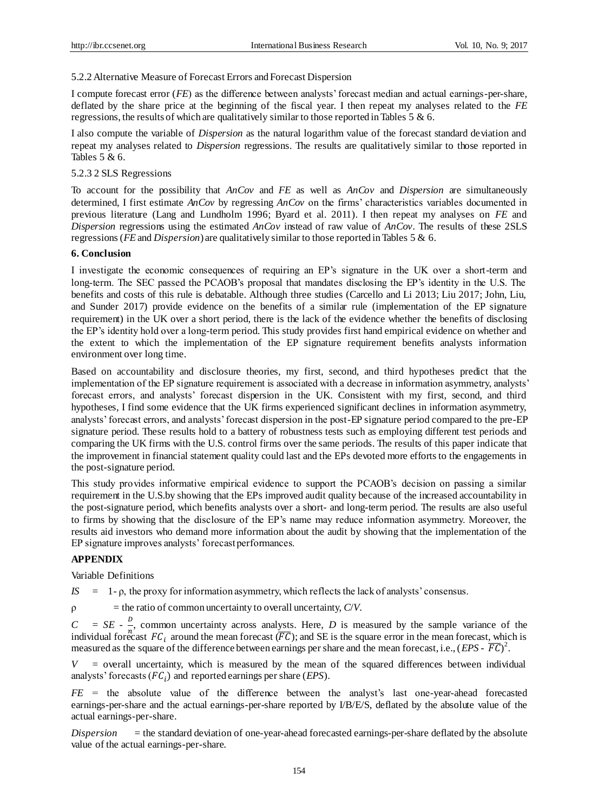#### 5.2.2 Alternative Measure of Forecast Errors and Forecast Dispersion

I compute forecast error (*FE*) as the difference between analysts' forecast median and actual earnings-per-share, deflated by the share price at the beginning of the fiscal year. I then repeat my analyses related to the *FE* regressions, the results of which are qualitatively similar to those reported in Tables 5 & 6.

I also compute the variable of *Dispersion* as the natural logarithm value of the forecast standard deviation and repeat my analyses related to *Dispersion* regressions. The results are qualitatively similar to those reported in Tables  $5 & 6$ .

### 5.2.3 2 SLS Regressions

To account for the possibility that *AnCov* and *FE* as well as *AnCov* and *Dispersion* are simultaneously determined, I first estimate *AnCov* by regressing *AnCov* on the firms' characteristics variables documented in previous literature (Lang and Lundholm 1996; Byard et al. 2011). I then repeat my analyses on *FE* and *Dispersion* regressions using the estimated *AnCov* instead of raw value of *AnCov*. The results of these 2SLS regressions (*FE* and *Dispersion*) are qualitatively similar to those reported in Tables 5 & 6.

#### **6. Conclusion**

I investigate the economic consequences of requiring an EP's signature in the UK over a short-term and long-term. The SEC passed the PCAOB's proposal that mandates disclosing the EP's identity in the U.S. The benefits and costs of this rule is debatable. Although three studies (Carcello and Li 2013; Liu 2017; John, Liu, and Sunder 2017) provide evidence on the benefits of a similar rule (implementation of the EP signature requirement) in the UK over a short period, there is the lack of the evidence whether the benefits of disclosing the EP's identity hold over a long-term period. This study provides first hand empirical evidence on whether and the extent to which the implementation of the EP signature requirement benefits analysts information environment over long time.

Based on accountability and disclosure theories, my first, second, and third hypotheses predict that the implementation of the EP signature requirement is associated with a decrease in information asymmetry, analysts' forecast errors, and analysts' forecast dispersion in the UK. Consistent with my first, second, and third hypotheses, I find some evidence that the UK firms experienced significant declines in information asymmetry, analysts' forecast errors, and analysts' forecast dispersion in the post-EP signature period compared to the pre-EP signature period. These results hold to a battery of robustness tests such as employing different test periods and comparing the UK firms with the U.S. control firms over the same periods. The results of this paper indicate that the improvement in financial statement quality could last and the EPs devoted more efforts to the engagements in the post-signature period.

This study provides informative empirical evidence to support the PCAOB's decision on passing a similar requirement in the U.S.by showing that the EPs improved audit quality because of the increased accountability in the post-signature period, which benefits analysts over a short- and long-term period. The results are also useful to firms by showing that the disclosure of the EP's name may reduce information asymmetry. Moreover, the results aid investors who demand more information about the audit by showing that the implementation of the EP signature improves analysts' forecast performances.

# **APPENDIX**

Variable Definitions

*IS* = 1- ρ, the proxy for information asymmetry, which reflects the lack of analysts' consensus.

 $\rho$  = the ratio of common uncertainty to overall uncertainty,  $C/V$ .

 $C = SE - \frac{D}{A}$  $\frac{E}{n}$ , common uncertainty across analysts. Here, *D* is measured by the sample variance of the individual forecast  $FC_i$  around the mean forecast  $(\overline{FC})$ ; and SE is the square error in the mean forecast, which is measured as the square of the difference between earnings per share and the mean forecast, i.e.,  $(EPS - \overline{FC})^2$ .

 $V =$  overall uncertainty, which is measured by the mean of the squared differences between individual analysts' forecasts  $(FC_i)$  and reported earnings per share *(EPS)*.

*FE* = the absolute value of the difference between the analyst's last one-year-ahead forecasted earnings-per-share and the actual earnings-per-share reported by I/B/E/S, deflated by the absolute value of the actual earnings-per-share.

*Dispersion* = the standard deviation of one-year-ahead forecasted earnings-per-share deflated by the absolute value of the actual earnings-per-share.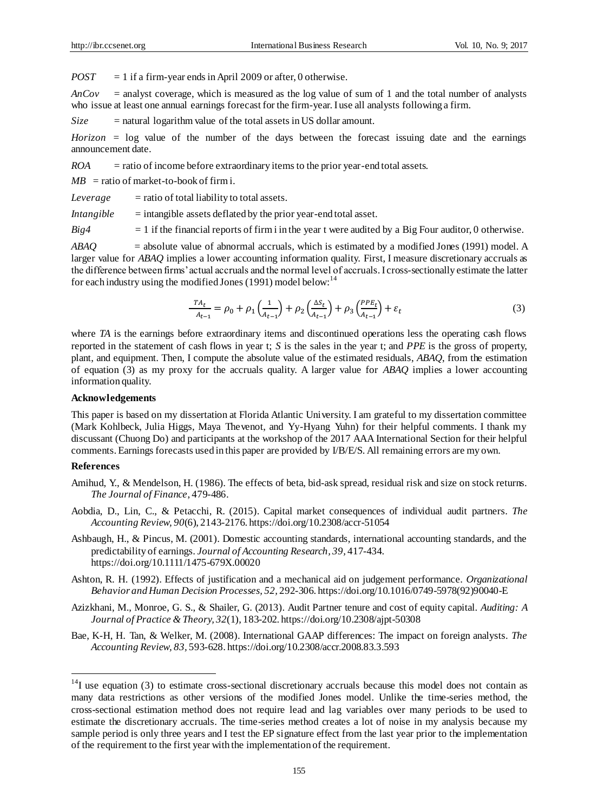*POST* = 1 if a firm-year ends in April 2009 or after, 0 otherwise.

*AnCov =* analyst coverage, which is measured as the log value of sum of 1 and the total number of analysts who issue at least one annual earnings forecast for the firm-year. I use all analysts following a firm.

*Size* = natural logarithm value of the total assets in US dollar amount.

*Horizon*  $=$  log value of the number of the days between the forecast issuing date and the earnings announcement date.

*ROA =* ratio of income before extraordinary items to the prior year-end total assets.

*MB =* ratio of market-to-book of firm i.

*Leverage =* ratio of total liability to total assets.

*Intangible* = intangible assets deflated by the prior year-end total asset.

*Big4* = 1 if the financial reports of firm i in the year t were audited by a Big Four auditor, 0 otherwise.

*ABAQ* = absolute value of abnormal accruals, which is estimated by a modified Jones (1991) model. A larger value for *ABAQ* implies a lower accounting information quality. First, I measure discretionary accruals as the difference between firms' actual accruals and the normal level of accruals. I cross-sectionally estimate the latter for each industry using the modified Jones (1991) model below:<sup>14</sup>

$$
\frac{TA_t}{A_{t-1}} = \rho_0 + \rho_1 \left(\frac{1}{A_{t-1}}\right) + \rho_2 \left(\frac{\Delta S_t}{A_{t-1}}\right) + \rho_3 \left(\frac{PPE_t}{A_{t-1}}\right) + \varepsilon_t
$$
\n(3)

where *TA* is the earnings before extraordinary items and discontinued operations less the operating cash flows reported in the statement of cash flows in year t; *S* is the sales in the year t; and *PPE* is the gross of property, plant, and equipment. Then, I compute the absolute value of the estimated residuals, *ABAQ*, from the estimation of equation (3) as my proxy for the accruals quality. A larger value for *ABAQ* implies a lower accounting information quality.

#### **Acknowledgements**

This paper is based on my dissertation at Florida Atlantic University. I am grateful to my dissertation committee (Mark Kohlbeck, Julia Higgs, Maya Thevenot, and Yy-Hyang Yuhn) for their helpful comments. I thank my discussant (Chuong Do) and participants at the workshop of the 2017 AAA International Section for their helpful comments. Earnings forecasts used in this paper are provided by I/B/E/S. All remaining errors are my own.

#### **References**

<u>.</u>

- Amihud, Y., & Mendelson, H. (1986). The effects of beta, bid-ask spread, residual risk and size on stock returns. *The Journal of Finance*, 479-486.
- Aobdia, D., Lin, C., & Petacchi, R. (2015). Capital market consequences of individual audit partners. *The Accounting Review, 90*(6), 2143-2176. https://doi.org/10.2308/accr-51054
- Ashbaugh, H., & Pincus, M. (2001). Domestic accounting standards, international accounting standards, and the predictability of earnings. *Journal of Accounting Research, 39,* 417-434. https://doi.org/10.1111/1475-679X.00020
- Ashton, R. H. (1992). Effects of justification and a mechanical aid on judgement performance. *Organizational Behavior and Human Decision Processes, 52,* 292-306. https://doi.org/10.1016/0749-5978(92)90040-E
- Azizkhani, M., Monroe, G. S., & Shailer, G. (2013). Audit Partner tenure and cost of equity capital. *Auditing: A Journal of Practice & Theory, 32*(1), 183-202. https://doi.org/10.2308/ajpt-50308
- Bae, K-H, H. Tan, & Welker, M. (2008). International GAAP differences: The impact on foreign analysts. *The Accounting Review, 83,* 593-628. https://doi.org/10.2308/accr.2008.83.3.593

 $14$ I use equation (3) to estimate cross-sectional discretionary accruals because this model does not contain as many data restrictions as other versions of the modified Jones model. Unlike the time-series method, the cross-sectional estimation method does not require lead and lag variables over many periods to be used to estimate the discretionary accruals. The time-series method creates a lot of noise in my analysis because my sample period is only three years and I test the EP signature effect from the last year prior to the implementation of the requirement to the first year with the implementation of the requirement.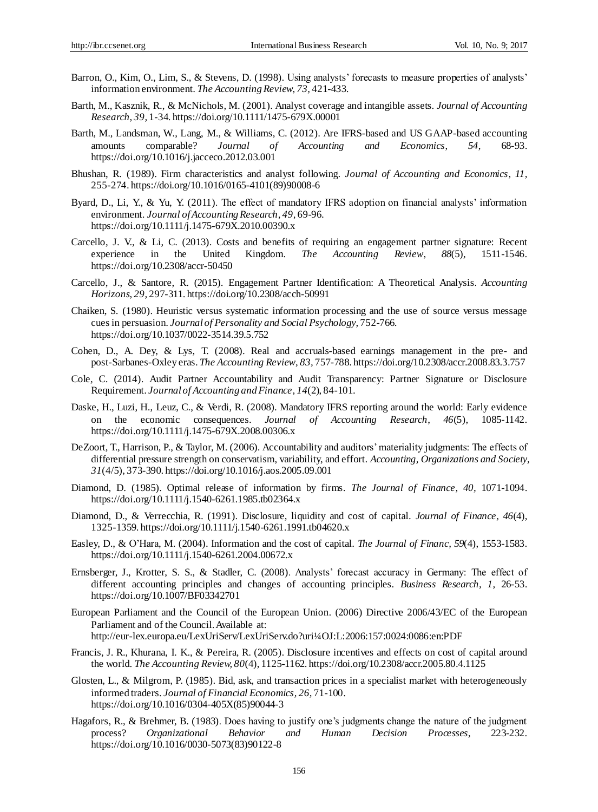- Barron, O., Kim, O., Lim, S., & Stevens, D. (1998). Using analysts' forecasts to measure properties of analysts' information environment. *The Accounting Review, 73,* 421-433.
- Barth, M., Kasznik, R., & McNichols, M. (2001). Analyst coverage and intangible assets. *Journal of Accounting Research, 39,* 1-34. https://doi.org/10.1111/1475-679X.00001
- Barth, M., Landsman, W., Lang, M., & Williams, C. (2012). Are IFRS-based and US GAAP-based accounting amounts comparable? *Journal of Accounting and Economics*, *54*, 68-93. https://doi.org/10.1016/j.jacceco.2012.03.001
- Bhushan, R. (1989). Firm characteristics and analyst following. *Journal of Accounting and Economics, 11,*  255-274. https://doi.org/10.1016/0165-4101(89)90008-6
- Byard, D., Li, Y., & Yu, Y. (2011). The effect of mandatory IFRS adoption on financial analysts' information environment. *Journal of Accounting Research, 49,* 69-96. https://doi.org/10.1111/j.1475-679X.2010.00390.x
- Carcello, J. V., & Li, C. (2013). Costs and benefits of requiring an engagement partner signature: Recent experience in the United Kingdom. *The Accounting Review*, *88*(5), 1511-1546. https://doi.org/10.2308/accr-50450
- Carcello, J., & Santore, R. (2015). Engagement Partner Identification: A Theoretical Analysis. *Accounting Horizons*, *29,* 297-311. https://doi.org/10.2308/acch-50991
- Chaiken, S. (1980). Heuristic versus systematic information processing and the use of source versus message cues in persuasion. *Journal of Personality and Social Psychology*, 752-766. https://doi.org/10.1037/0022-3514.39.5.752
- Cohen, D., A. Dey, & Lys, T. (2008). Real and accruals-based earnings management in the pre- and post-Sarbanes-Oxley eras. *The Accounting Review*, *83,* 757-788. https://doi.org/10.2308/accr.2008.83.3.757
- Cole, C. (2014). Audit Partner Accountability and Audit Transparency: Partner Signature or Disclosure Requirement. *Journal of Accounting and Finance, 14*(2), 84-101.
- Daske, H., Luzi, H., Leuz, C., & Verdi, R. (2008). Mandatory IFRS reporting around the world: Early evidence on the economic consequences. *Journal of Accounting Research*, *46*(5), 1085-1142. https://doi.org/10.1111/j.1475-679X.2008.00306.x
- DeZoort, T., Harrison, P., & Taylor, M. (2006). Accountability and auditors' materiality judgments: The effects of differential pressure strength on conservatism, variability, and effort. *Accounting, Organizations and Society, 31*(4/5), 373-390. https://doi.org/10.1016/j.aos.2005.09.001
- Diamond, D. (1985). Optimal release of information by firms. *The Journal of Finance, 40,* 1071-1094. https://doi.org/10.1111/j.1540-6261.1985.tb02364.x
- Diamond, D., & Verrecchia, R. (1991). Disclosure, liquidity and cost of capital. *Journal of Finance, 46*(4), 1325-1359. https://doi.org/10.1111/j.1540-6261.1991.tb04620.x
- Easley, D., & O'Hara, M. (2004). Information and the cost of capital. *The Journal of Financ, 59*(4), 1553-1583. https://doi.org/10.1111/j.1540-6261.2004.00672.x
- Ernsberger, J., Krotter, S. S., & Stadler, C. (2008). Analysts' forecast accuracy in Germany: The effect of different accounting principles and changes of accounting principles. *Business Research, 1,* 26-53. https://doi.org/10.1007/BF03342701
- European Parliament and the Council of the European Union. (2006) Directive 2006/43/EC of the European Parliament and of the Council. Available at: http://eur-lex.europa.eu/LexUriServ/LexUriServ.do?uri¼OJ:L:2006:157:0024:0086:en:PDF
- Francis, J. R., Khurana, I. K., & Pereira, R. (2005). Disclosure incentives and effects on cost of capital around the world. *The Accounting Review, 80*(4), 1125-1162. https://doi.org/10.2308/accr.2005.80.4.1125
- Glosten, L., & Milgrom, P. (1985). Bid, ask, and transaction prices in a specialist market with heterogeneously informed traders. *Journal of Financial Economics, 26,* 71-100. https://doi.org/10.1016/0304-405X(85)90044-3
- Hagafors, R., & Brehmer, B. (1983). Does having to justify one's judgments change the nature of the judgment process? *Organizational Behavior and Human Decision Processes*, 223-232. https://doi.org/10.1016/0030-5073(83)90122-8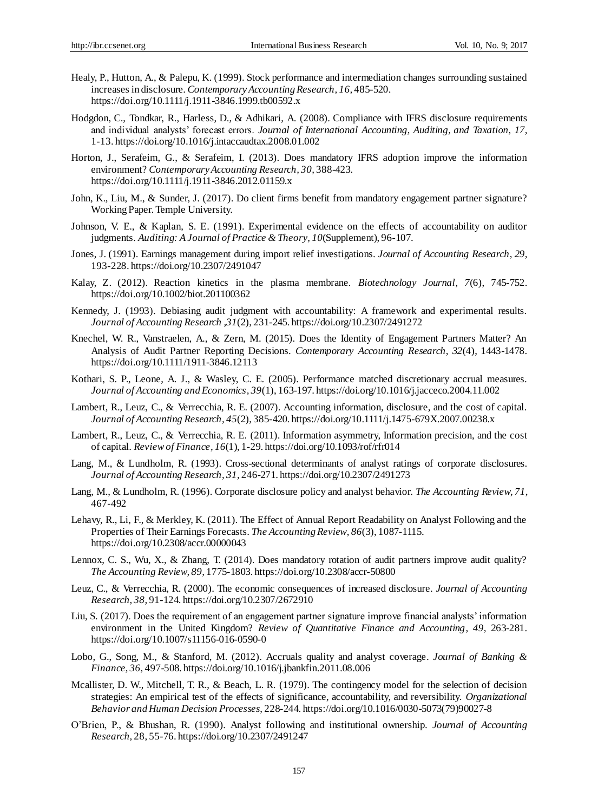- Healy, P., Hutton, A., & Palepu, K. (1999). Stock performance and intermediation changes surrounding sustained increases in disclosure. *Contemporary Accounting Research, 16,* 485-520. https://doi.org/10.1111/j.1911-3846.1999.tb00592.x
- Hodgdon, C., Tondkar, R., Harless, D., & Adhikari, A. (2008). Compliance with IFRS disclosure requirements and individual analysts' forecast errors. *Journal of International Accounting, Auditing, and Taxation, 17,*  1-13. https://doi.org/10.1016/j.intaccaudtax.2008.01.002
- Horton, J., Serafeim, G., & Serafeim, I. (2013). Does mandatory IFRS adoption improve the information environment? *Contemporary Accounting Research, 30,* 388-423. https://doi.org/10.1111/j.1911-3846.2012.01159.x
- John, K., Liu, M., & Sunder, J. (2017). Do client firms benefit from mandatory engagement partner signature? Working Paper. Temple University.
- Johnson, V. E., & Kaplan, S. E. (1991). Experimental evidence on the effects of accountability on auditor judgments. *Auditing: A Journal of Practice & Theory, 10*(Supplement), 96-107.
- Jones, J. (1991). Earnings management during import relief investigations. *Journal of Accounting Research, 29,*  193-228. https://doi.org/10.2307/2491047
- Kalay, Z. (2012). Reaction kinetics in the plasma membrane. *Biotechnology Journal, 7*(6), 745-752. https://doi.org/10.1002/biot.201100362
- Kennedy, J. (1993). Debiasing audit judgment with accountability: A framework and experimental results. *Journal of Accounting Research ,31*(2), 231-245. https://doi.org/10.2307/2491272
- Knechel, W. R., Vanstraelen, A., & Zern, M. (2015). Does the Identity of Engagement Partners Matter? An Analysis of Audit Partner Reporting Decisions. *Contemporary Accounting Research, 32*(4), 1443-1478. https://doi.org/10.1111/1911-3846.12113
- Kothari, S. P., Leone, A. J., & Wasley, C. E. (2005). Performance matched discretionary accrual measures. *Journal of Accounting and Economics, 39*(1), 163-197. https://doi.org/10.1016/j.jacceco.2004.11.002
- Lambert, R., Leuz, C., & Verrecchia, R. E. (2007). Accounting information, disclosure, and the cost of capital. *Journal of Accounting Research, 45*(2), 385-420. https://doi.org/10.1111/j.1475-679X.2007.00238.x
- Lambert, R., Leuz, C., & Verrecchia, R. E. (2011). Information asymmetry, Information precision, and the cost of capital. *Review of Finance, 16*(1), 1-29. https://doi.org/10.1093/rof/rfr014
- Lang, M., & Lundholm, R. (1993). Cross-sectional determinants of analyst ratings of corporate disclosures. *Journal of Accounting Research, 31,* 246-271. https://doi.org/10.2307/2491273
- Lang, M., & Lundholm, R. (1996). Corporate disclosure policy and analyst behavior. *The Accounting Review, 71,* 467-492
- Lehavy, R., Li, F., & Merkley, K. (2011). The Effect of Annual Report Readability on Analyst Following and the Properties of Their Earnings Forecasts. *The Accounting Review*, *86*(3), 1087-1115. https://doi.org/10.2308/accr.00000043
- Lennox, C. S., Wu, X., & Zhang, T. (2014). Does mandatory rotation of audit partners improve audit quality? *The Accounting Review, 89,* 1775-1803. https://doi.org/10.2308/accr-50800
- Leuz, C., & Verrecchia, R. (2000). The economic consequences of increased disclosure. *Journal of Accounting Research, 38,* 91-124. https://doi.org/10.2307/2672910
- Liu, S. (2017). Does the requirement of an engagement partner signature improve financial analysts' information environment in the United Kingdom? *Review of Quantitative Finance and Accounting, 49,* 263-281. https://doi.org/10.1007/s11156-016-0590-0
- Lobo, G., Song, M., & Stanford, M. (2012). Accruals quality and analyst coverage. *[Journal of Banking &](http://econpapers.repec.org/article/eeejbfina/)  [Finance,](http://econpapers.repec.org/article/eeejbfina/) 36,* 497-508. https://doi.org/10.1016/j.jbankfin.2011.08.006
- Mcallister, D. W., Mitchell, T. R., & Beach, L. R. (1979). The contingency model for the selection of decision strategies: An empirical test of the effects of significance, accountability, and reversibility. *Organizational Behavior and Human Decision Processes*, 228-244. https://doi.org/10.1016/0030-5073(79)90027-8
- O'Brien, P., & Bhushan, R. (1990). Analyst following and institutional ownership. *Journal of Accounting Research,* 28, 55-76. https://doi.org/10.2307/2491247